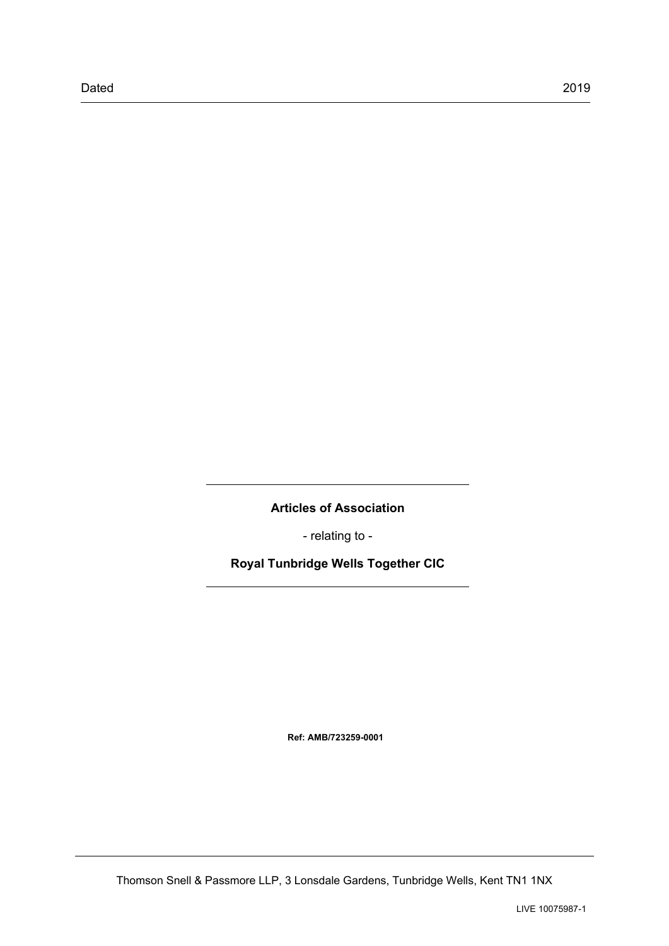**Articles of Association**

- relating to -

**Royal Tunbridge Wells Together CIC**

**Ref: AMB/723259-0001**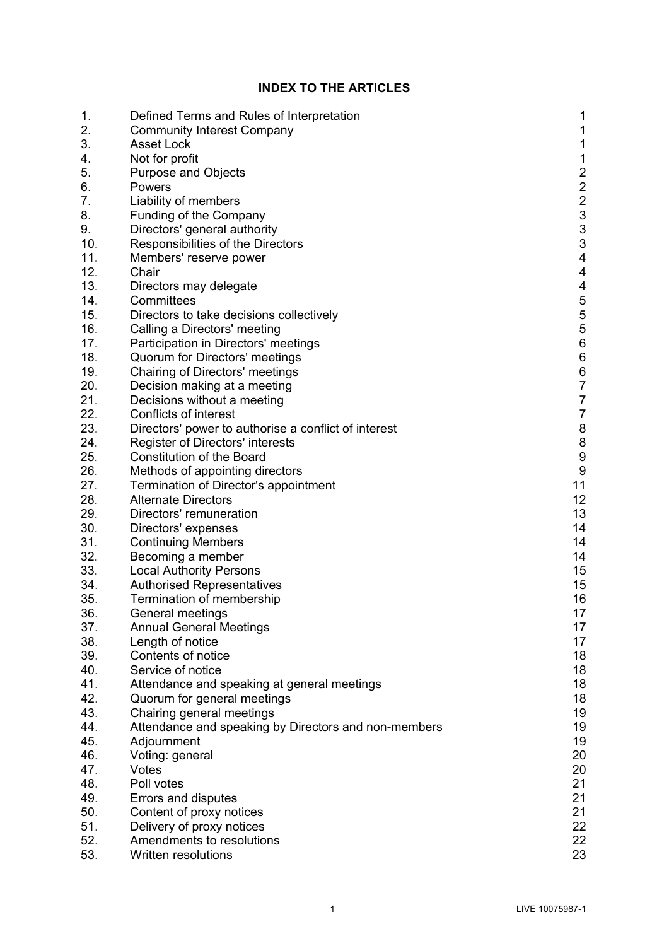# **INDEX TO THE ARTICLES**

| 1.  | Defined Terms and Rules of Interpretation            | 1                                     |
|-----|------------------------------------------------------|---------------------------------------|
| 2.  | <b>Community Interest Company</b>                    | $\mathbf{1}$                          |
| 3.  | <b>Asset Lock</b>                                    | $\mathbf 1$                           |
| 4.  | Not for profit                                       | $\mathbf 1$                           |
| 5.  | <b>Purpose and Objects</b>                           | $\frac{2}{2}$                         |
| 6.  | Powers                                               |                                       |
| 7.  | Liability of members                                 | $\frac{2}{3}$                         |
| 8.  | Funding of the Company                               |                                       |
| 9.  | Directors' general authority                         | 3                                     |
| 10. | Responsibilities of the Directors                    | 3                                     |
| 11. | Members' reserve power                               | $\overline{\mathbf{4}}$               |
| 12. | Chair                                                | $\overline{4}$                        |
| 13. | Directors may delegate                               | $\overline{\mathcal{L}}$              |
| 14. | Committees                                           | $\frac{5}{5}$                         |
| 15. | Directors to take decisions collectively             |                                       |
| 16. | Calling a Directors' meeting                         | $\begin{array}{c} 5 \\ 6 \end{array}$ |
| 17. | Participation in Directors' meetings                 |                                       |
| 18. | Quorum for Directors' meetings                       | $\,6$                                 |
| 19. | Chairing of Directors' meetings                      | $\begin{array}{c} 6 \\ 7 \end{array}$ |
| 20. | Decision making at a meeting                         |                                       |
| 21. | Decisions without a meeting                          | $\frac{7}{7}$                         |
| 22. | Conflicts of interest                                |                                       |
| 23. | Directors' power to authorise a conflict of interest | $\boldsymbol{8}$                      |
| 24. | Register of Directors' interests                     | $\boldsymbol{8}$                      |
| 25. | <b>Constitution of the Board</b>                     | 9                                     |
| 26. | Methods of appointing directors                      | 9                                     |
| 27. | Termination of Director's appointment                | 11                                    |
| 28. | <b>Alternate Directors</b>                           | 12                                    |
| 29. | Directors' remuneration                              | 13                                    |
| 30. | Directors' expenses                                  | 14                                    |
| 31. | <b>Continuing Members</b>                            | 14                                    |
| 32. | Becoming a member                                    | 14                                    |
| 33. | <b>Local Authority Persons</b>                       | 15                                    |
| 34. | <b>Authorised Representatives</b>                    | 15                                    |
| 35. | Termination of membership                            | 16                                    |
| 36. | General meetings                                     | 17                                    |
| 37. | <b>Annual General Meetings</b>                       | 17                                    |
| 38. | Length of notice                                     | 17                                    |
| 39. | Contents of notice                                   | 18                                    |
| 40. | Service of notice                                    | 18                                    |
| 41. | Attendance and speaking at general meetings          | 18                                    |
| 42. | Quorum for general meetings                          | 18                                    |
| 43. | Chairing general meetings                            | 19                                    |
| 44. | Attendance and speaking by Directors and non-members | 19                                    |
| 45. | Adjournment                                          | 19                                    |
| 46. | Voting: general                                      | 20                                    |
| 47. | Votes                                                | 20                                    |
| 48. | Poll votes                                           | 21                                    |
| 49. | Errors and disputes                                  | 21                                    |
| 50. | Content of proxy notices                             | 21                                    |
| 51. | Delivery of proxy notices                            | 22                                    |
| 52. | Amendments to resolutions                            | 22                                    |
| 53. | <b>Written resolutions</b>                           | 23                                    |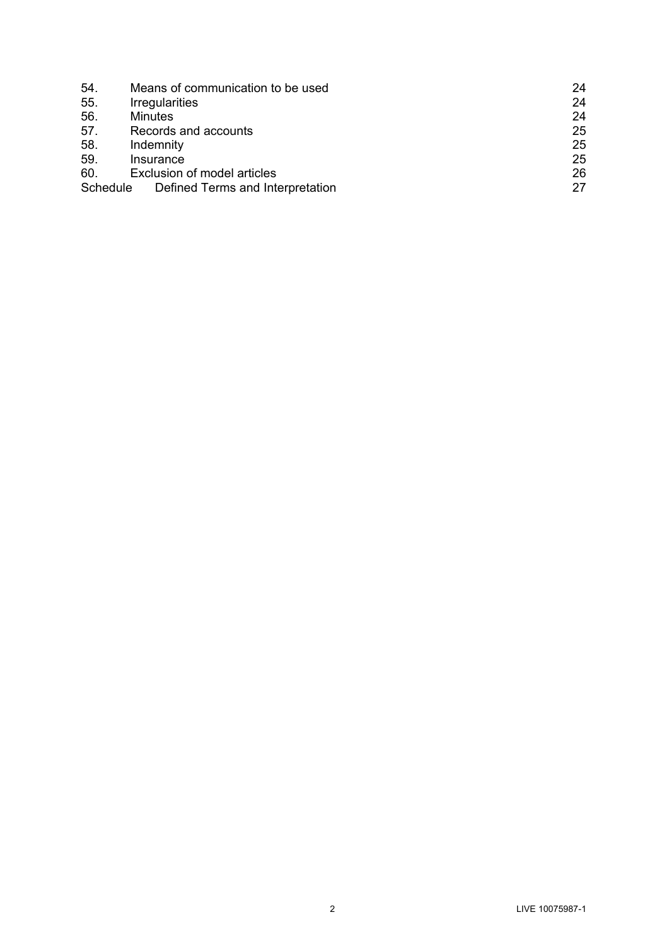| 54.      | Means of communication to be used | 24 |
|----------|-----------------------------------|----|
| 55.      | <b>Irregularities</b>             | 24 |
| 56.      | <b>Minutes</b>                    | 24 |
| 57.      | Records and accounts              | 25 |
| 58.      | Indemnity                         | 25 |
| 59.      | Insurance                         | 25 |
| 60.      | Exclusion of model articles       | 26 |
| Schedule | Defined Terms and Interpretation  | 27 |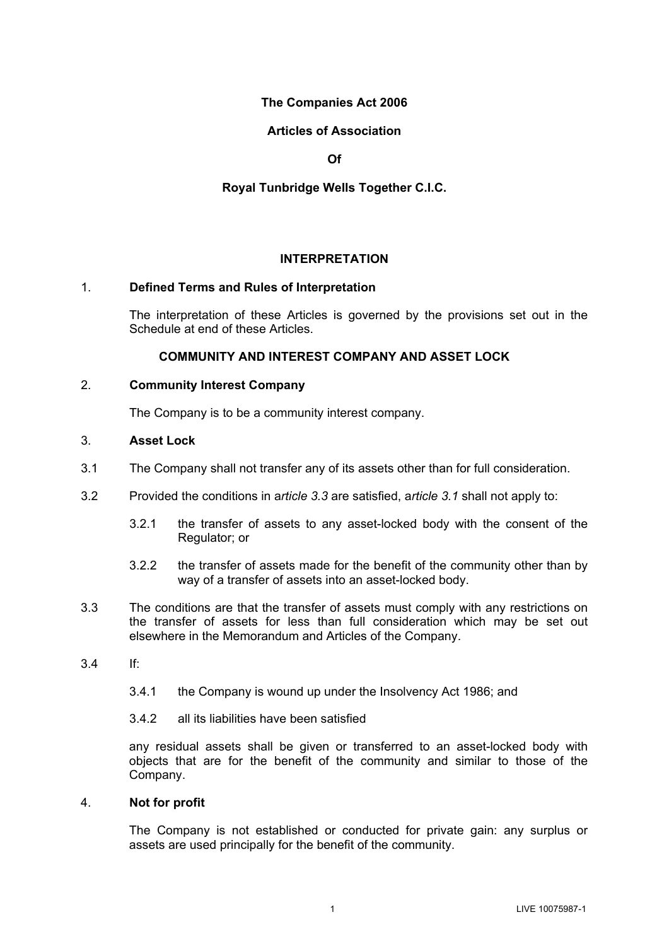# **The Companies Act 2006**

# **Articles of Association**

**Of**

# **Royal Tunbridge Wells Together C.I.C.**

# **INTERPRETATION**

## 1. **Defined Terms and Rules of Interpretation**

The interpretation of these Articles is governed by the provisions set out in the Schedule at end of these Articles.

## **COMMUNITY AND INTEREST COMPANY AND ASSET LOCK**

## 2. **Community Interest Company**

The Company is to be a community interest company.

## 3. **Asset Lock**

- <span id="page-3-1"></span>3.1 The Company shall not transfer any of its assets other than for full consideration.
- 3.2 Provided the conditions in a*rticle [3.3](#page-3-0)* are satisfied, a*rticle [3.1](#page-3-1)* shall not apply to:
	- 3.2.1 the transfer of assets to any asset-locked body with the consent of the Regulator; or
	- 3.2.2 the transfer of assets made for the benefit of the community other than by way of a transfer of assets into an asset-locked body.
- <span id="page-3-0"></span>3.3 The conditions are that the transfer of assets must comply with any restrictions on the transfer of assets for less than full consideration which may be set out elsewhere in the Memorandum and Articles of the Company.
- 3.4 If:
	- 3.4.1 the Company is wound up under the Insolvency Act 1986; and
	- 3.4.2 all its liabilities have been satisfied

any residual assets shall be given or transferred to an asset-locked body with objects that are for the benefit of the community and similar to those of the Company.

## 4. **Not for profit**

The Company is not established or conducted for private gain: any surplus or assets are used principally for the benefit of the community.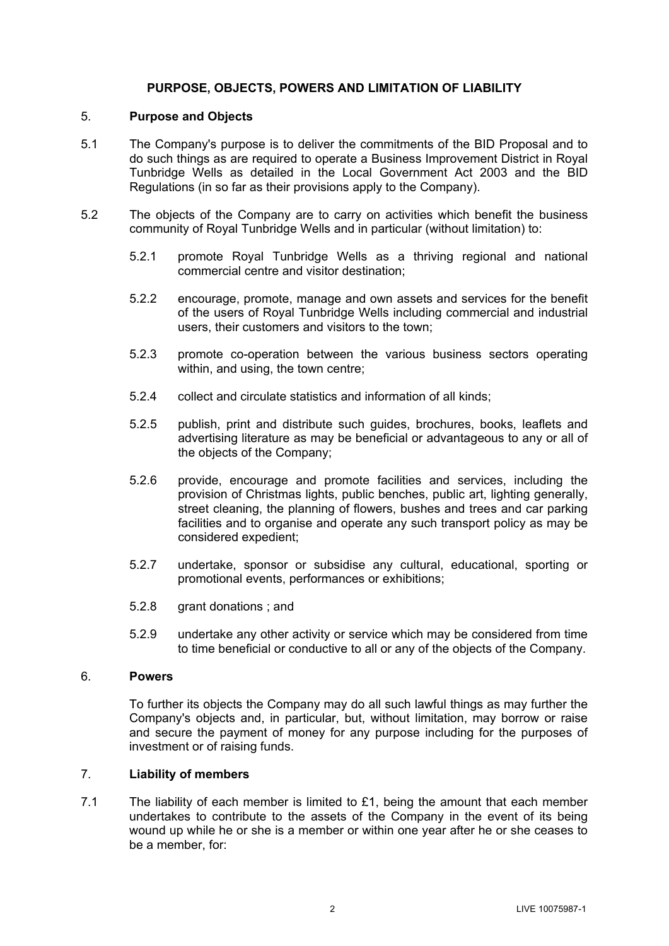## **PURPOSE, OBJECTS, POWERS AND LIMITATION OF LIABILITY**

## <span id="page-4-0"></span>5. **Purpose and Objects**

- <span id="page-4-1"></span>5.1 The Company's purpose is to deliver the commitments of the BID Proposal and to do such things as are required to operate a Business Improvement District in Royal Tunbridge Wells as detailed in the Local Government Act 2003 and the BID Regulations (in so far as their provisions apply to the Company).
- 5.2 The objects of the Company are to carry on activities which benefit the business community of Royal Tunbridge Wells and in particular (without limitation) to:
	- 5.2.1 promote Royal Tunbridge Wells as a thriving regional and national commercial centre and visitor destination;
	- 5.2.2 encourage, promote, manage and own assets and services for the benefit of the users of Royal Tunbridge Wells including commercial and industrial users, their customers and visitors to the town;
	- 5.2.3 promote co-operation between the various business sectors operating within, and using, the town centre;
	- 5.2.4 collect and circulate statistics and information of all kinds;
	- 5.2.5 publish, print and distribute such guides, brochures, books, leaflets and advertising literature as may be beneficial or advantageous to any or all of the objects of the Company;
	- 5.2.6 provide, encourage and promote facilities and services, including the provision of Christmas lights, public benches, public art, lighting generally, street cleaning, the planning of flowers, bushes and trees and car parking facilities and to organise and operate any such transport policy as may be considered expedient;
	- 5.2.7 undertake, sponsor or subsidise any cultural, educational, sporting or promotional events, performances or exhibitions;
	- 5.2.8 grant donations ; and
	- 5.2.9 undertake any other activity or service which may be considered from time to time beneficial or conductive to all or any of the objects of the Company.

## 6. **Powers**

To further its objects the Company may do all such lawful things as may further the Company's objects and, in particular, but, without limitation, may borrow or raise and secure the payment of money for any purpose including for the purposes of investment or of raising funds.

## 7. **Liability of members**

7.1 The liability of each member is limited to  $£1$ , being the amount that each member undertakes to contribute to the assets of the Company in the event of its being wound up while he or she is a member or within one year after he or she ceases to be a member, for: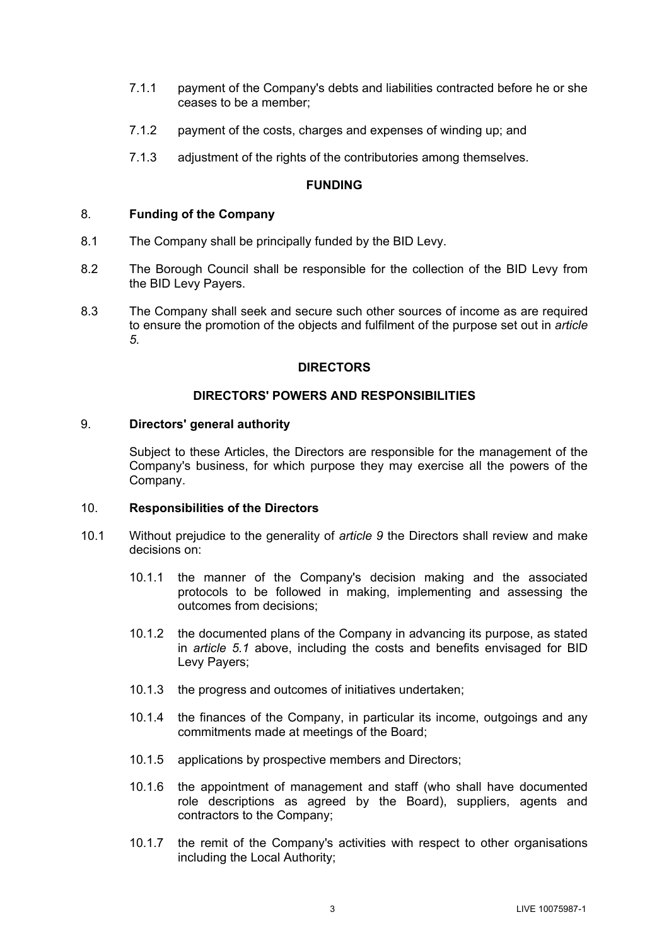- 7.1.1 payment of the Company's debts and liabilities contracted before he or she ceases to be a member;
- 7.1.2 payment of the costs, charges and expenses of winding up; and
- 7.1.3 adjustment of the rights of the contributories among themselves.

## **FUNDING**

## 8. **Funding of the Company**

- 8.1 The Company shall be principally funded by the BID Levy.
- 8.2 The Borough Council shall be responsible for the collection of the BID Levy from the BID Levy Payers.
- 8.3 The Company shall seek and secure such other sources of income as are required to ensure the promotion of the objects and fulfilment of the purpose set out in *article [5.](#page-4-0)*

# **DIRECTORS**

# **DIRECTORS' POWERS AND RESPONSIBILITIES**

## <span id="page-5-0"></span>9. **Directors' general authority**

Subject to these Articles, the Directors are responsible for the management of the Company's business, for which purpose they may exercise all the powers of the Company.

## 10. **Responsibilities of the Directors**

- 10.1 Without prejudice to the generality of *article [9](#page-5-0)* the Directors shall review and make decisions on:
	- 10.1.1 the manner of the Company's decision making and the associated protocols to be followed in making, implementing and assessing the outcomes from decisions;
	- 10.1.2 the documented plans of the Company in advancing its purpose, as stated in *article [5.1](#page-4-1)* above, including the costs and benefits envisaged for BID Levy Payers;
	- 10.1.3 the progress and outcomes of initiatives undertaken;
	- 10.1.4 the finances of the Company, in particular its income, outgoings and any commitments made at meetings of the Board;
	- 10.1.5 applications by prospective members and Directors;
	- 10.1.6 the appointment of management and staff (who shall have documented role descriptions as agreed by the Board), suppliers, agents and contractors to the Company;
	- 10.1.7 the remit of the Company's activities with respect to other organisations including the Local Authority;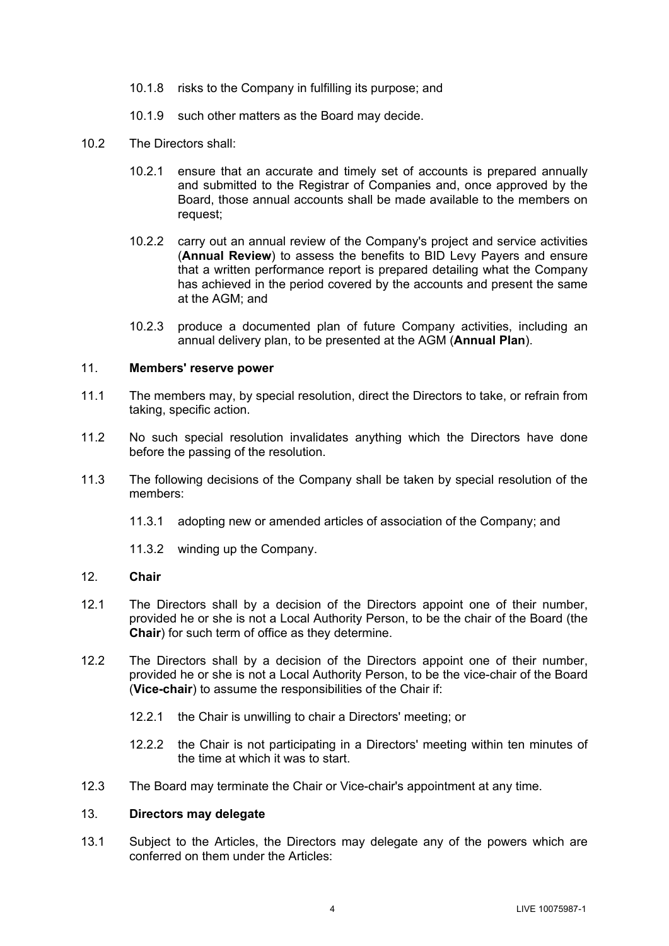- 10.1.8 risks to the Company in fulfilling its purpose; and
- 10.1.9 such other matters as the Board may decide.
- 10.2 The Directors shall:
	- 10.2.1 ensure that an accurate and timely set of accounts is prepared annually and submitted to the Registrar of Companies and, once approved by the Board, those annual accounts shall be made available to the members on request;
	- 10.2.2 carry out an annual review of the Company's project and service activities (**Annual Review**) to assess the benefits to BID Levy Payers and ensure that a written performance report is prepared detailing what the Company has achieved in the period covered by the accounts and present the same at the AGM; and
	- 10.2.3 produce a documented plan of future Company activities, including an annual delivery plan, to be presented at the AGM (**Annual Plan**).

## 11. **Members' reserve power**

- 11.1 The members may, by special resolution, direct the Directors to take, or refrain from taking, specific action.
- 11.2 No such special resolution invalidates anything which the Directors have done before the passing of the resolution.
- 11.3 The following decisions of the Company shall be taken by special resolution of the members:
	- 11.3.1 adopting new or amended articles of association of the Company; and
	- 11.3.2 winding up the Company.

## <span id="page-6-0"></span>12. **Chair**

- 12.1 The Directors shall by a decision of the Directors appoint one of their number, provided he or she is not a Local Authority Person, to be the chair of the Board (the **Chair**) for such term of office as they determine.
- 12.2 The Directors shall by a decision of the Directors appoint one of their number, provided he or she is not a Local Authority Person, to be the vice-chair of the Board (**Vice-chair**) to assume the responsibilities of the Chair if:
	- 12.2.1 the Chair is unwilling to chair a Directors' meeting; or
	- 12.2.2 the Chair is not participating in a Directors' meeting within ten minutes of the time at which it was to start.
- 12.3 The Board may terminate the Chair or Vice-chair's appointment at any time.

## 13. **Directors may delegate**

13.1 Subject to the Articles, the Directors may delegate any of the powers which are conferred on them under the Articles: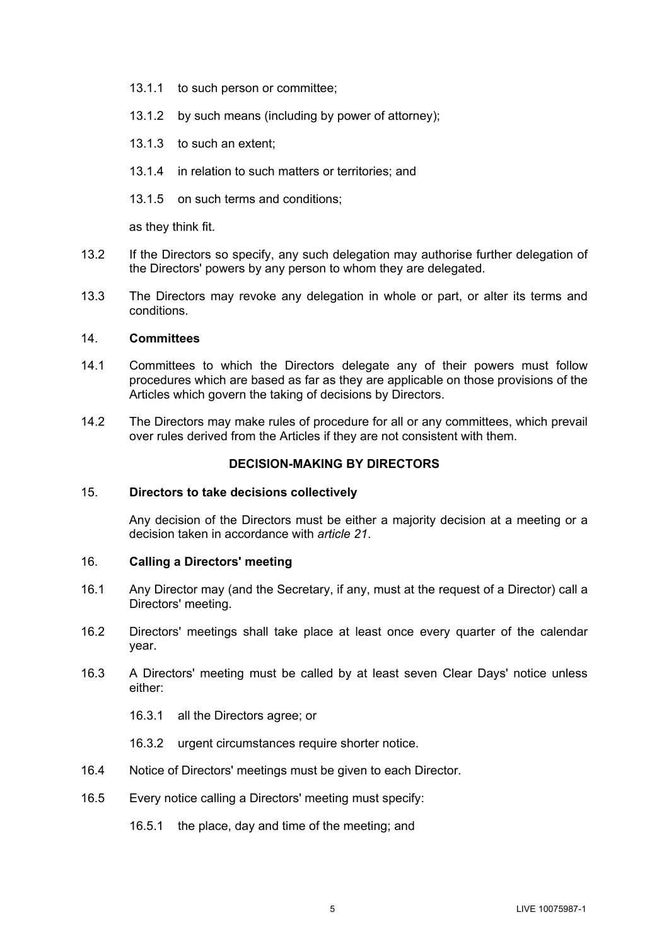- 13.1.1 to such person or committee;
- 13.1.2 by such means (including by power of attorney);
- 13.1.3 to such an extent;
- 13.1.4 in relation to such matters or territories; and
- 13.1.5 on such terms and conditions;

as they think fit.

- 13.2 If the Directors so specify, any such delegation may authorise further delegation of the Directors' powers by any person to whom they are delegated.
- 13.3 The Directors may revoke any delegation in whole or part, or alter its terms and conditions.

## 14. **Committees**

- 14.1 Committees to which the Directors delegate any of their powers must follow procedures which are based as far as they are applicable on those provisions of the Articles which govern the taking of decisions by Directors.
- 14.2 The Directors may make rules of procedure for all or any committees, which prevail over rules derived from the Articles if they are not consistent with them.

# **DECISION-MAKING BY DIRECTORS**

## 15. **Directors to take decisions collectively**

Any decision of the Directors must be either a majority decision at a meeting or a decision taken in accordance with *article [21](#page-9-0)*.

# 16. **Calling a Directors' meeting**

- 16.1 Any Director may (and the Secretary, if any, must at the request of a Director) call a Directors' meeting.
- 16.2 Directors' meetings shall take place at least once every quarter of the calendar year.
- 16.3 A Directors' meeting must be called by at least seven Clear Days' notice unless either:
	- 16.3.1 all the Directors agree; or
	- 16.3.2 urgent circumstances require shorter notice.
- 16.4 Notice of Directors' meetings must be given to each Director.
- 16.5 Every notice calling a Directors' meeting must specify:
	- 16.5.1 the place, day and time of the meeting; and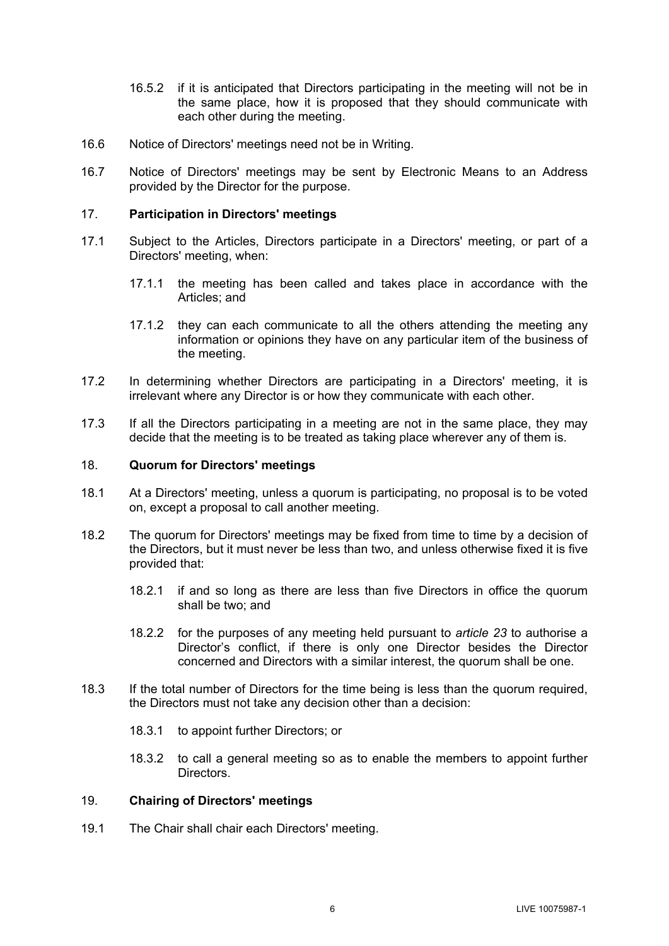- 16.5.2 if it is anticipated that Directors participating in the meeting will not be in the same place, how it is proposed that they should communicate with each other during the meeting.
- 16.6 Notice of Directors' meetings need not be in Writing.
- 16.7 Notice of Directors' meetings may be sent by Electronic Means to an Address provided by the Director for the purpose.

## <span id="page-8-0"></span>17. **Participation in Directors' meetings**

- 17.1 Subject to the Articles, Directors participate in a Directors' meeting, or part of a Directors' meeting, when:
	- 17.1.1 the meeting has been called and takes place in accordance with the Articles; and
	- 17.1.2 they can each communicate to all the others attending the meeting any information or opinions they have on any particular item of the business of the meeting.
- 17.2 In determining whether Directors are participating in a Directors' meeting, it is irrelevant where any Director is or how they communicate with each other.
- 17.3 If all the Directors participating in a meeting are not in the same place, they may decide that the meeting is to be treated as taking place wherever any of them is.

# 18. **Quorum for Directors' meetings**

- 18.1 At a Directors' meeting, unless a quorum is participating, no proposal is to be voted on, except a proposal to call another meeting.
- 18.2 The quorum for Directors' meetings may be fixed from time to time by a decision of the Directors, but it must never be less than two, and unless otherwise fixed it is five provided that:
	- 18.2.1 if and so long as there are less than five Directors in office the quorum shall be two; and
	- 18.2.2 for the purposes of any meeting held pursuant to *article [23](#page-10-0)* to authorise a Director's conflict, if there is only one Director besides the Director concerned and Directors with a similar interest, the quorum shall be one.
- 18.3 If the total number of Directors for the time being is less than the quorum required, the Directors must not take any decision other than a decision:
	- 18.3.1 to appoint further Directors; or
	- 18.3.2 to call a general meeting so as to enable the members to appoint further Directors.

## 19. **Chairing of Directors' meetings**

19.1 The Chair shall chair each Directors' meeting.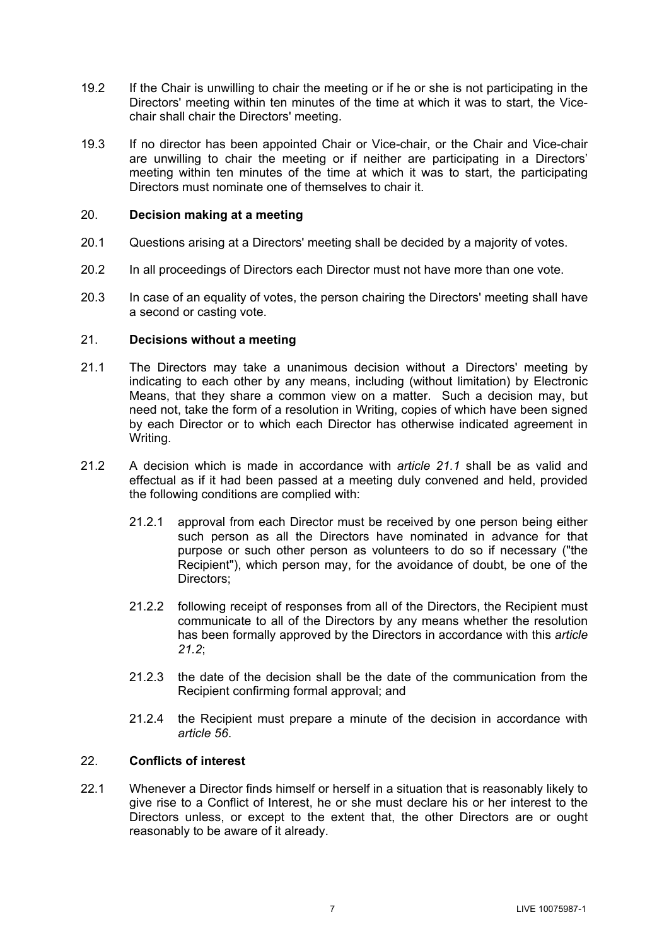- 19.2 If the Chair is unwilling to chair the meeting or if he or she is not participating in the Directors' meeting within ten minutes of the time at which it was to start, the Vicechair shall chair the Directors' meeting.
- 19.3 If no director has been appointed Chair or Vice-chair, or the Chair and Vice-chair are unwilling to chair the meeting or if neither are participating in a Directors' meeting within ten minutes of the time at which it was to start, the participating Directors must nominate one of themselves to chair it.

# 20. **Decision making at a meeting**

- 20.1 Questions arising at a Directors' meeting shall be decided by a majority of votes.
- 20.2 In all proceedings of Directors each Director must not have more than one vote.
- 20.3 In case of an equality of votes, the person chairing the Directors' meeting shall have a second or casting vote.

## <span id="page-9-0"></span>21. **Decisions without a meeting**

- <span id="page-9-1"></span>21.1 The Directors may take a unanimous decision without a Directors' meeting by indicating to each other by any means, including (without limitation) by Electronic Means, that they share a common view on a matter. Such a decision may, but need not, take the form of a resolution in Writing, copies of which have been signed by each Director or to which each Director has otherwise indicated agreement in Writing.
- <span id="page-9-2"></span>21.2 A decision which is made in accordance with *article [21.1](#page-9-1)* shall be as valid and effectual as if it had been passed at a meeting duly convened and held, provided the following conditions are complied with:
	- 21.2.1 approval from each Director must be received by one person being either such person as all the Directors have nominated in advance for that purpose or such other person as volunteers to do so if necessary ("the Recipient"), which person may, for the avoidance of doubt, be one of the Directors;
	- 21.2.2 following receipt of responses from all of the Directors, the Recipient must communicate to all of the Directors by any means whether the resolution has been formally approved by the Directors in accordance with this *article [21.2](#page-9-2)*;
	- 21.2.3 the date of the decision shall be the date of the communication from the Recipient confirming formal approval; and
	- 21.2.4 the Recipient must prepare a minute of the decision in accordance with *article [56](#page-26-0)*.

# 22. **Conflicts of interest**

22.1 Whenever a Director finds himself or herself in a situation that is reasonably likely to give rise to a Conflict of Interest, he or she must declare his or her interest to the Directors unless, or except to the extent that, the other Directors are or ought reasonably to be aware of it already.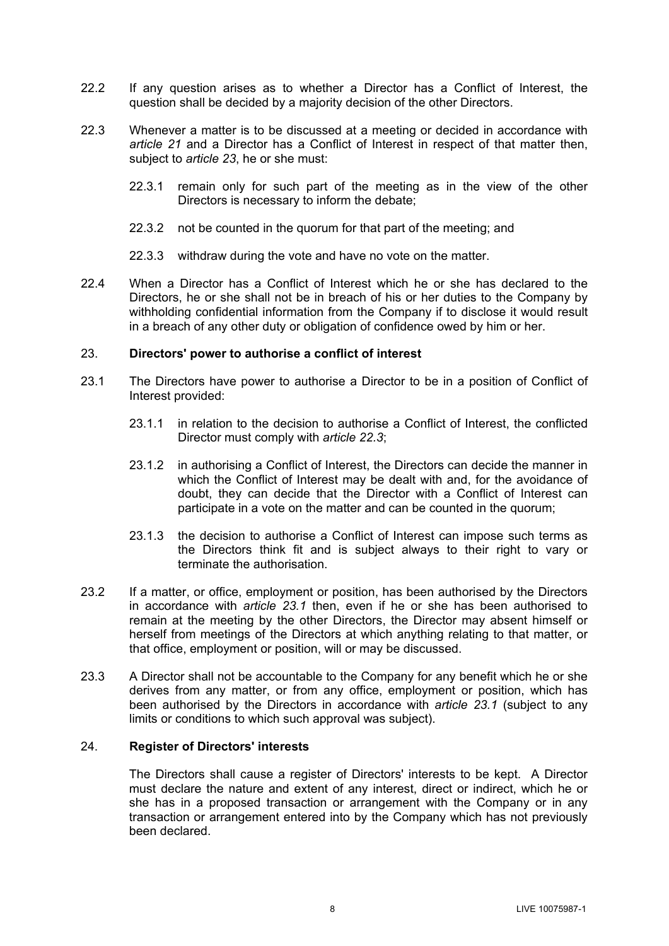- 22.2 If any question arises as to whether a Director has a Conflict of Interest, the question shall be decided by a majority decision of the other Directors.
- <span id="page-10-1"></span>22.3 Whenever a matter is to be discussed at a meeting or decided in accordance with *article [21](#page-9-0)* and a Director has a Conflict of Interest in respect of that matter then, subject to *article [23](#page-10-0)*, he or she must:
	- 22.3.1 remain only for such part of the meeting as in the view of the other Directors is necessary to inform the debate;
	- 22.3.2 not be counted in the quorum for that part of the meeting; and
	- 22.3.3 withdraw during the vote and have no vote on the matter.
- 22.4 When a Director has a Conflict of Interest which he or she has declared to the Directors, he or she shall not be in breach of his or her duties to the Company by withholding confidential information from the Company if to disclose it would result in a breach of any other duty or obligation of confidence owed by him or her.

## <span id="page-10-0"></span>23. **Directors' power to authorise a conflict of interest**

- <span id="page-10-2"></span>23.1 The Directors have power to authorise a Director to be in a position of Conflict of Interest provided:
	- 23.1.1 in relation to the decision to authorise a Conflict of Interest, the conflicted Director must comply with *article [22.3](#page-10-1)*;
	- 23.1.2 in authorising a Conflict of Interest, the Directors can decide the manner in which the Conflict of Interest may be dealt with and, for the avoidance of doubt, they can decide that the Director with a Conflict of Interest can participate in a vote on the matter and can be counted in the quorum;
	- 23.1.3 the decision to authorise a Conflict of Interest can impose such terms as the Directors think fit and is subject always to their right to vary or terminate the authorisation.
- 23.2 If a matter, or office, employment or position, has been authorised by the Directors in accordance with *article [23.1](#page-10-2)* then, even if he or she has been authorised to remain at the meeting by the other Directors, the Director may absent himself or herself from meetings of the Directors at which anything relating to that matter, or that office, employment or position, will or may be discussed.
- 23.3 A Director shall not be accountable to the Company for any benefit which he or she derives from any matter, or from any office, employment or position, which has been authorised by the Directors in accordance with *article [23.1](#page-10-2)* (subject to any limits or conditions to which such approval was subject).

## 24. **Register of Directors' interests**

The Directors shall cause a register of Directors' interests to be kept. A Director must declare the nature and extent of any interest, direct or indirect, which he or she has in a proposed transaction or arrangement with the Company or in any transaction or arrangement entered into by the Company which has not previously been declared.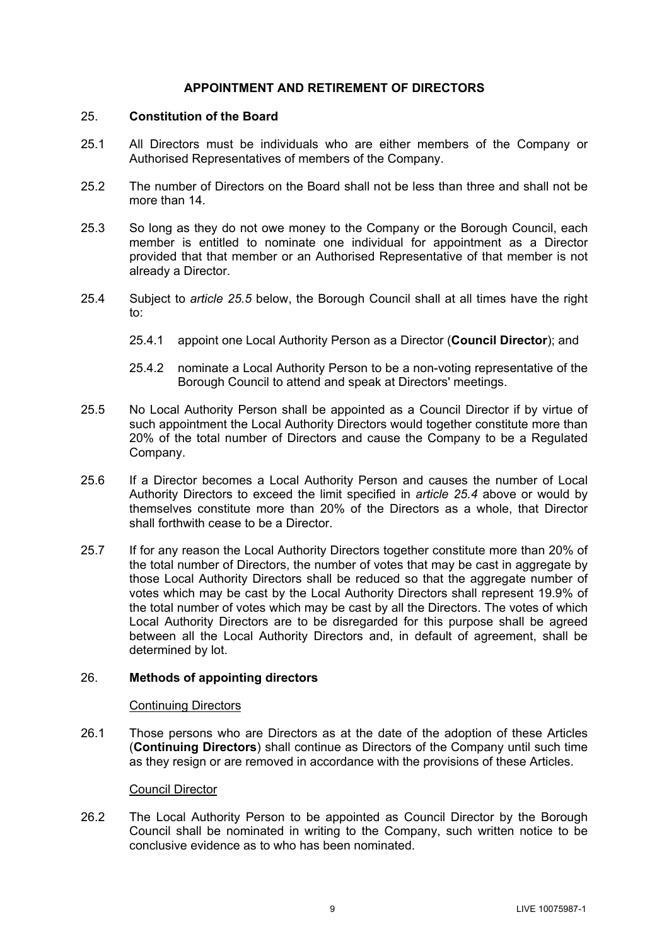## **APPOINTMENT AND RETIREMENT OF DIRECTORS**

## 25. **Constitution of the Board**

- 25.1 All Directors must be individuals who are either members of the Company or Authorised Representatives of members of the Company.
- <span id="page-11-3"></span>25.2 The number of Directors on the Board shall not be less than three and shall not be more than 14
- 25.3 So long as they do not owe money to the Company or the Borough Council, each member is entitled to nominate one individual for appointment as a Director provided that that member or an Authorised Representative of that member is not already a Director.
- <span id="page-11-1"></span>25.4 Subject to *article [25.5](#page-11-0)* below, the Borough Council shall at all times have the right to:
	- 25.4.1 appoint one Local Authority Person as a Director (**Council Director**); and
	- 25.4.2 nominate a Local Authority Person to be a non-voting representative of the Borough Council to attend and speak at Directors' meetings.
- <span id="page-11-0"></span>25.5 No Local Authority Person shall be appointed as a Council Director if by virtue of such appointment the Local Authority Directors would together constitute more than 20% of the total number of Directors and cause the Company to be a Regulated Company.
- <span id="page-11-4"></span>25.6 If a Director becomes a Local Authority Person and causes the number of Local Authority Directors to exceed the limit specified in *article [25.4](#page-11-1)* above or would by themselves constitute more than 20% of the Directors as a whole, that Director shall forthwith cease to be a Director.
- <span id="page-11-5"></span>25.7 If for any reason the Local Authority Directors together constitute more than 20% of the total number of Directors, the number of votes that may be cast in aggregate by those Local Authority Directors shall be reduced so that the aggregate number of votes which may be cast by the Local Authority Directors shall represent 19.9% of the total number of votes which may be cast by all the Directors. The votes of which Local Authority Directors are to be disregarded for this purpose shall be agreed between all the Local Authority Directors and, in default of agreement, shall be determined by lot.

## <span id="page-11-2"></span>26. **Methods of appointing directors**

## Continuing Directors

<span id="page-11-6"></span>26.1 Those persons who are Directors as at the date of the adoption of these Articles (**Continuing Directors**) shall continue as Directors of the Company until such time as they resign or are removed in accordance with the provisions of these Articles.

#### Council Director

26.2 The Local Authority Person to be appointed as Council Director by the Borough Council shall be nominated in writing to the Company, such written notice to be conclusive evidence as to who has been nominated.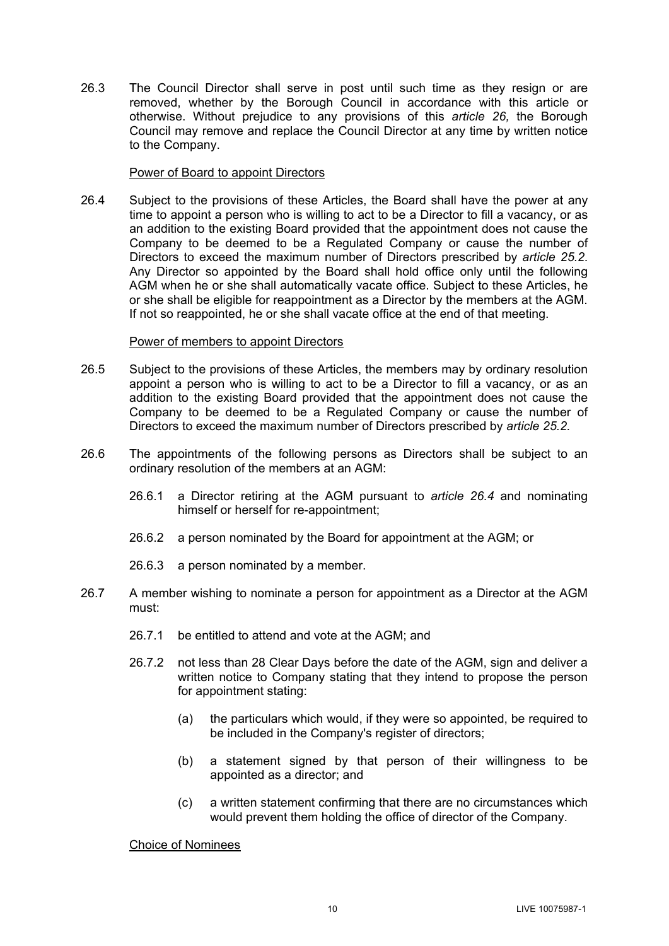26.3 The Council Director shall serve in post until such time as they resign or are removed, whether by the Borough Council in accordance with this article or otherwise. Without prejudice to any provisions of this *article [26,](#page-11-2)* the Borough Council may remove and replace the Council Director at any time by written notice to the Company.

## Power of Board to appoint Directors

<span id="page-12-0"></span>26.4 Subject to the provisions of these Articles, the Board shall have the power at any time to appoint a person who is willing to act to be a Director to fill a vacancy, or as an addition to the existing Board provided that the appointment does not cause the Company to be deemed to be a Regulated Company or cause the number of Directors to exceed the maximum number of Directors prescribed by *article [25.2](#page-11-3)*. Any Director so appointed by the Board shall hold office only until the following AGM when he or she shall automatically vacate office. Subject to these Articles, he or she shall be eligible for reappointment as a Director by the members at the AGM. If not so reappointed, he or she shall vacate office at the end of that meeting.

## Power of members to appoint Directors

- 26.5 Subject to the provisions of these Articles, the members may by ordinary resolution appoint a person who is willing to act to be a Director to fill a vacancy, or as an addition to the existing Board provided that the appointment does not cause the Company to be deemed to be a Regulated Company or cause the number of Directors to exceed the maximum number of Directors prescribed by *article [25.2.](#page-11-3)*
- 26.6 The appointments of the following persons as Directors shall be subject to an ordinary resolution of the members at an AGM:
	- 26.6.1 a Director retiring at the AGM pursuant to *article [26.4](#page-12-0)* and nominating himself or herself for re-appointment;
	- 26.6.2 a person nominated by the Board for appointment at the AGM; or
	- 26.6.3 a person nominated by a member.
- 26.7 A member wishing to nominate a person for appointment as a Director at the AGM must:
	- 26.7.1 be entitled to attend and vote at the AGM; and
	- 26.7.2 not less than 28 Clear Days before the date of the AGM, sign and deliver a written notice to Company stating that they intend to propose the person for appointment stating:
		- (a) the particulars which would, if they were so appointed, be required to be included in the Company's register of directors;
		- (b) a statement signed by that person of their willingness to be appointed as a director; and
		- (c) a written statement confirming that there are no circumstances which would prevent them holding the office of director of the Company.

Choice of Nominees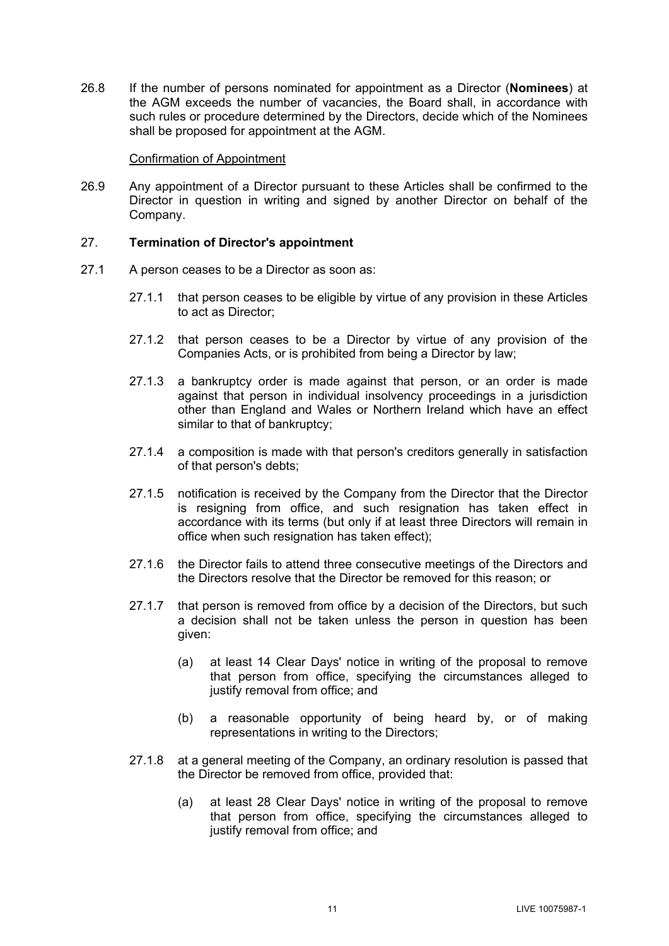26.8 If the number of persons nominated for appointment as a Director (**Nominees**) at the AGM exceeds the number of vacancies, the Board shall, in accordance with such rules or procedure determined by the Directors, decide which of the Nominees shall be proposed for appointment at the AGM.

#### Confirmation of Appointment

26.9 Any appointment of a Director pursuant to these Articles shall be confirmed to the Director in question in writing and signed by another Director on behalf of the Company.

## 27. **Termination of Director's appointment**

- 27.1 A person ceases to be a Director as soon as:
	- 27.1.1 that person ceases to be eligible by virtue of any provision in these Articles to act as Director;
	- 27.1.2 that person ceases to be a Director by virtue of any provision of the Companies Acts, or is prohibited from being a Director by law;
	- 27.1.3 a bankruptcy order is made against that person, or an order is made against that person in individual insolvency proceedings in a jurisdiction other than England and Wales or Northern Ireland which have an effect similar to that of bankruptcy;
	- 27.1.4 a composition is made with that person's creditors generally in satisfaction of that person's debts;
	- 27.1.5 notification is received by the Company from the Director that the Director is resigning from office, and such resignation has taken effect in accordance with its terms (but only if at least three Directors will remain in office when such resignation has taken effect);
	- 27.1.6 the Director fails to attend three consecutive meetings of the Directors and the Directors resolve that the Director be removed for this reason; or
	- 27.1.7 that person is removed from office by a decision of the Directors, but such a decision shall not be taken unless the person in question has been given:
		- (a) at least 14 Clear Days' notice in writing of the proposal to remove that person from office, specifying the circumstances alleged to justify removal from office; and
		- (b) a reasonable opportunity of being heard by, or of making representations in writing to the Directors;
	- 27.1.8 at a general meeting of the Company, an ordinary resolution is passed that the Director be removed from office, provided that:
		- (a) at least 28 Clear Days' notice in writing of the proposal to remove that person from office, specifying the circumstances alleged to justify removal from office; and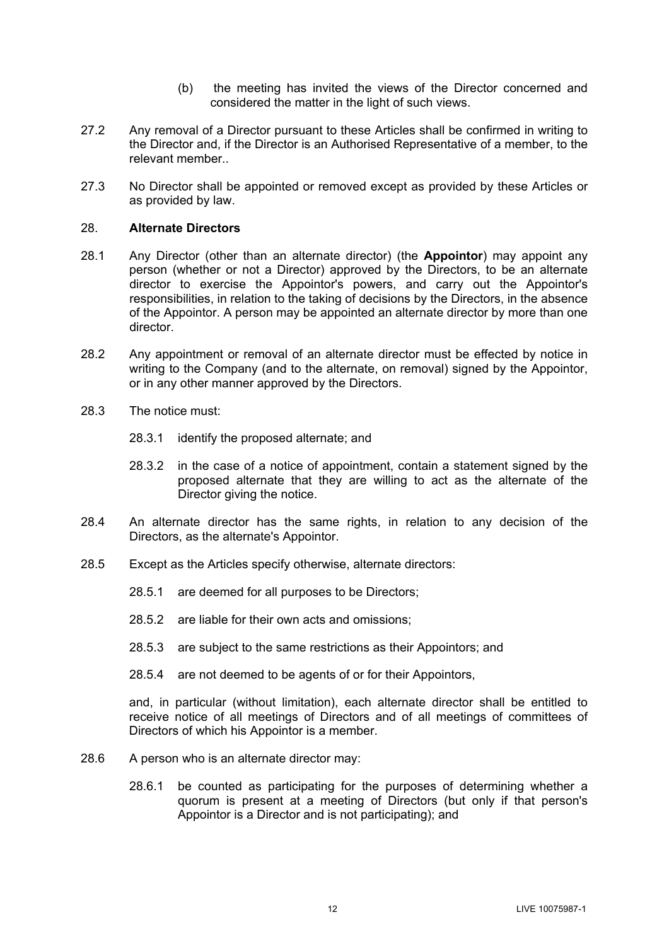- (b) the meeting has invited the views of the Director concerned and considered the matter in the light of such views.
- 27.2 Any removal of a Director pursuant to these Articles shall be confirmed in writing to the Director and, if the Director is an Authorised Representative of a member, to the relevant member..
- 27.3 No Director shall be appointed or removed except as provided by these Articles or as provided by law.

## 28. **Alternate Directors**

- <span id="page-14-0"></span>28.1 Any Director (other than an alternate director) (the **Appointor**) may appoint any person (whether or not a Director) approved by the Directors, to be an alternate director to exercise the Appointor's powers, and carry out the Appointor's responsibilities, in relation to the taking of decisions by the Directors, in the absence of the Appointor. A person may be appointed an alternate director by more than one director.
- 28.2 Any appointment or removal of an alternate director must be effected by notice in writing to the Company (and to the alternate, on removal) signed by the Appointor, or in any other manner approved by the Directors.
- 28.3 The notice must:
	- 28.3.1 identify the proposed alternate; and
	- 28.3.2 in the case of a notice of appointment, contain a statement signed by the proposed alternate that they are willing to act as the alternate of the Director giving the notice.
- 28.4 An alternate director has the same rights, in relation to any decision of the Directors, as the alternate's Appointor.
- 28.5 Except as the Articles specify otherwise, alternate directors:
	- 28.5.1 are deemed for all purposes to be Directors;
	- 28.5.2 are liable for their own acts and omissions;
	- 28.5.3 are subject to the same restrictions as their Appointors; and
	- 28.5.4 are not deemed to be agents of or for their Appointors,

and, in particular (without limitation), each alternate director shall be entitled to receive notice of all meetings of Directors and of all meetings of committees of Directors of which his Appointor is a member.

- 28.6 A person who is an alternate director may:
	- 28.6.1 be counted as participating for the purposes of determining whether a quorum is present at a meeting of Directors (but only if that person's Appointor is a Director and is not participating); and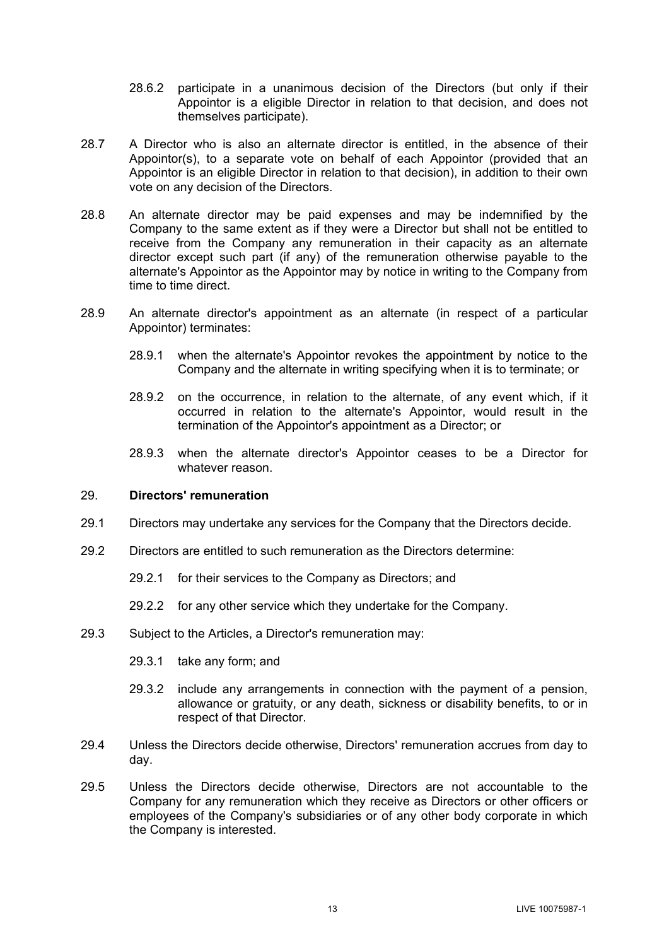- 28.6.2 participate in a unanimous decision of the Directors (but only if their Appointor is a eligible Director in relation to that decision, and does not themselves participate).
- 28.7 A Director who is also an alternate director is entitled, in the absence of their Appointor(s), to a separate vote on behalf of each Appointor (provided that an Appointor is an eligible Director in relation to that decision), in addition to their own vote on any decision of the Directors.
- 28.8 An alternate director may be paid expenses and may be indemnified by the Company to the same extent as if they were a Director but shall not be entitled to receive from the Company any remuneration in their capacity as an alternate director except such part (if any) of the remuneration otherwise payable to the alternate's Appointor as the Appointor may by notice in writing to the Company from time to time direct.
- 28.9 An alternate director's appointment as an alternate (in respect of a particular Appointor) terminates:
	- 28.9.1 when the alternate's Appointor revokes the appointment by notice to the Company and the alternate in writing specifying when it is to terminate; or
	- 28.9.2 on the occurrence, in relation to the alternate, of any event which, if it occurred in relation to the alternate's Appointor, would result in the termination of the Appointor's appointment as a Director; or
	- 28.9.3 when the alternate director's Appointor ceases to be a Director for whatever reason

## 29. **Directors' remuneration**

- 29.1 Directors may undertake any services for the Company that the Directors decide.
- 29.2 Directors are entitled to such remuneration as the Directors determine:
	- 29.2.1 for their services to the Company as Directors; and
	- 29.2.2 for any other service which they undertake for the Company.
- 29.3 Subject to the Articles, a Director's remuneration may:
	- 29.3.1 take any form; and
	- 29.3.2 include any arrangements in connection with the payment of a pension, allowance or gratuity, or any death, sickness or disability benefits, to or in respect of that Director.
- 29.4 Unless the Directors decide otherwise, Directors' remuneration accrues from day to day.
- 29.5 Unless the Directors decide otherwise, Directors are not accountable to the Company for any remuneration which they receive as Directors or other officers or employees of the Company's subsidiaries or of any other body corporate in which the Company is interested.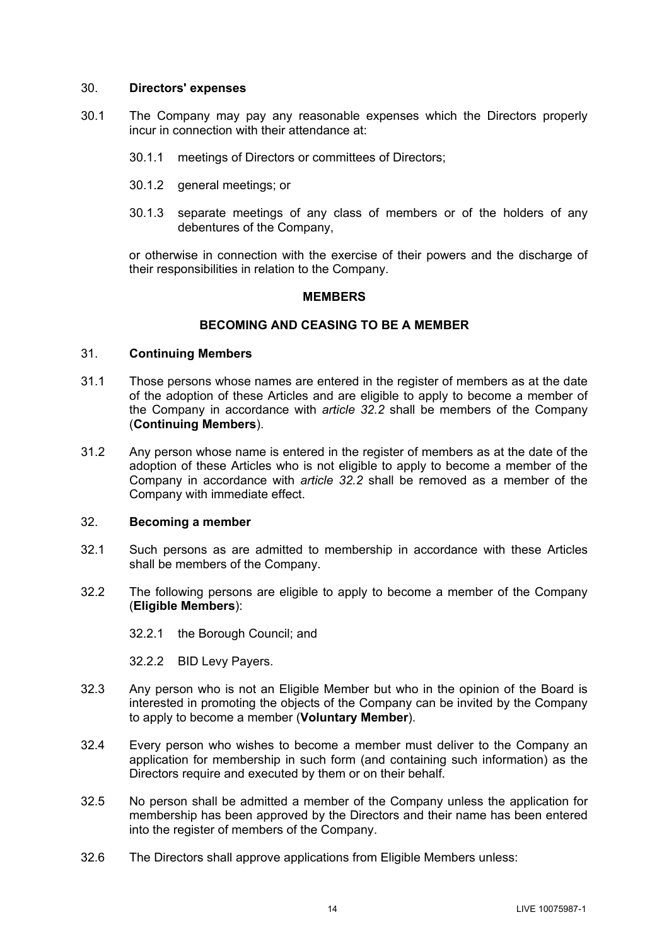## 30. **Directors' expenses**

- 30.1 The Company may pay any reasonable expenses which the Directors properly incur in connection with their attendance at:
	- 30.1.1 meetings of Directors or committees of Directors;
	- 30.1.2 general meetings; or
	- 30.1.3 separate meetings of any class of members or of the holders of any debentures of the Company,

or otherwise in connection with the exercise of their powers and the discharge of their responsibilities in relation to the Company.

#### **MEMBERS**

#### **BECOMING AND CEASING TO BE A MEMBER**

#### 31. **Continuing Members**

- 31.1 Those persons whose names are entered in the register of members as at the date of the adoption of these Articles and are eligible to apply to become a member of the Company in accordance with *article [32.2](#page-16-0)* shall be members of the Company (**Continuing Members**).
- 31.2 Any person whose name is entered in the register of members as at the date of the adoption of these Articles who is not eligible to apply to become a member of the Company in accordance with *article [32.2](#page-16-0)* shall be removed as a member of the Company with immediate effect.

## 32. **Becoming a member**

- 32.1 Such persons as are admitted to membership in accordance with these Articles shall be members of the Company.
- <span id="page-16-0"></span>32.2 The following persons are eligible to apply to become a member of the Company (**Eligible Members**):

32.2.1 the Borough Council; and

32.2.2 BID Levy Payers.

- <span id="page-16-1"></span>32.3 Any person who is not an Eligible Member but who in the opinion of the Board is interested in promoting the objects of the Company can be invited by the Company to apply to become a member (**Voluntary Member**).
- 32.4 Every person who wishes to become a member must deliver to the Company an application for membership in such form (and containing such information) as the Directors require and executed by them or on their behalf.
- 32.5 No person shall be admitted a member of the Company unless the application for membership has been approved by the Directors and their name has been entered into the register of members of the Company.
- 32.6 The Directors shall approve applications from Eligible Members unless: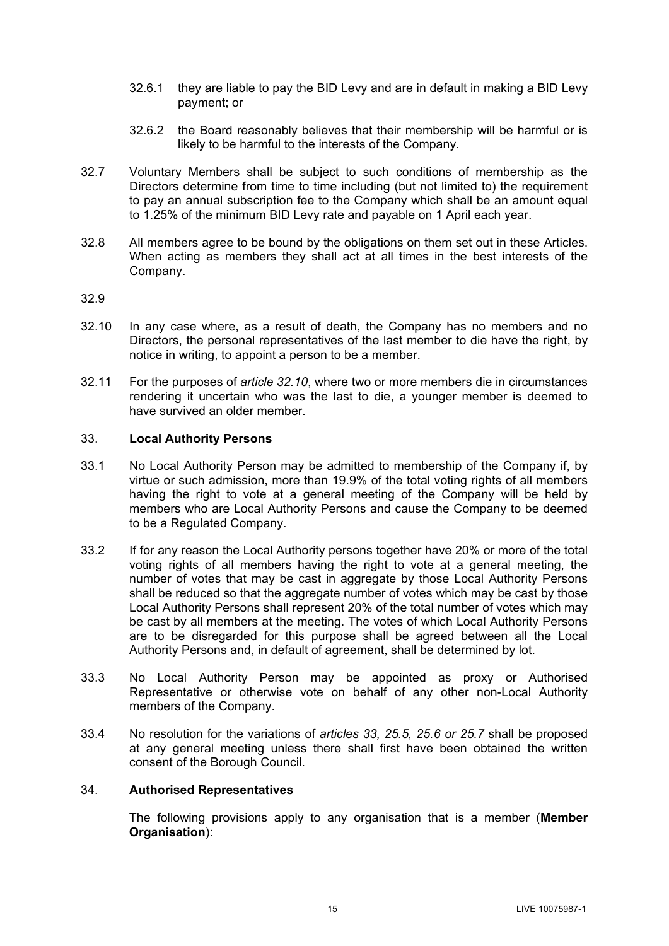- 32.6.1 they are liable to pay the BID Levy and are in default in making a BID Levy payment; or
- 32.6.2 the Board reasonably believes that their membership will be harmful or is likely to be harmful to the interests of the Company.
- 32.7 Voluntary Members shall be subject to such conditions of membership as the Directors determine from time to time including (but not limited to) the requirement to pay an annual subscription fee to the Company which shall be an amount equal to 1.25% of the minimum BID Levy rate and payable on 1 April each year.
- 32.8 All members agree to be bound by the obligations on them set out in these Articles. When acting as members they shall act at all times in the best interests of the Company.

## 32.9

- <span id="page-17-0"></span>32.10 In any case where, as a result of death, the Company has no members and no Directors, the personal representatives of the last member to die have the right, by notice in writing, to appoint a person to be a member.
- 32.11 For the purposes of *article [32.10](#page-17-0)*, where two or more members die in circumstances rendering it uncertain who was the last to die, a younger member is deemed to have survived an older member.

## <span id="page-17-1"></span>33. **Local Authority Persons**

- 33.1 No Local Authority Person may be admitted to membership of the Company if, by virtue or such admission, more than 19.9% of the total voting rights of all members having the right to vote at a general meeting of the Company will be held by members who are Local Authority Persons and cause the Company to be deemed to be a Regulated Company.
- 33.2 If for any reason the Local Authority persons together have 20% or more of the total voting rights of all members having the right to vote at a general meeting, the number of votes that may be cast in aggregate by those Local Authority Persons shall be reduced so that the aggregate number of votes which may be cast by those Local Authority Persons shall represent 20% of the total number of votes which may be cast by all members at the meeting. The votes of which Local Authority Persons are to be disregarded for this purpose shall be agreed between all the Local Authority Persons and, in default of agreement, shall be determined by lot.
- 33.3 No Local Authority Person may be appointed as proxy or Authorised Representative or otherwise vote on behalf of any other non-Local Authority members of the Company.
- 33.4 No resolution for the variations of *articles [33,](#page-17-1) [25.5,](#page-11-0) [25.6](#page-11-4) or [25.7](#page-11-5)* shall be proposed at any general meeting unless there shall first have been obtained the written consent of the Borough Council.

## <span id="page-17-2"></span>34. **Authorised Representatives**

The following provisions apply to any organisation that is a member (**Member Organisation**):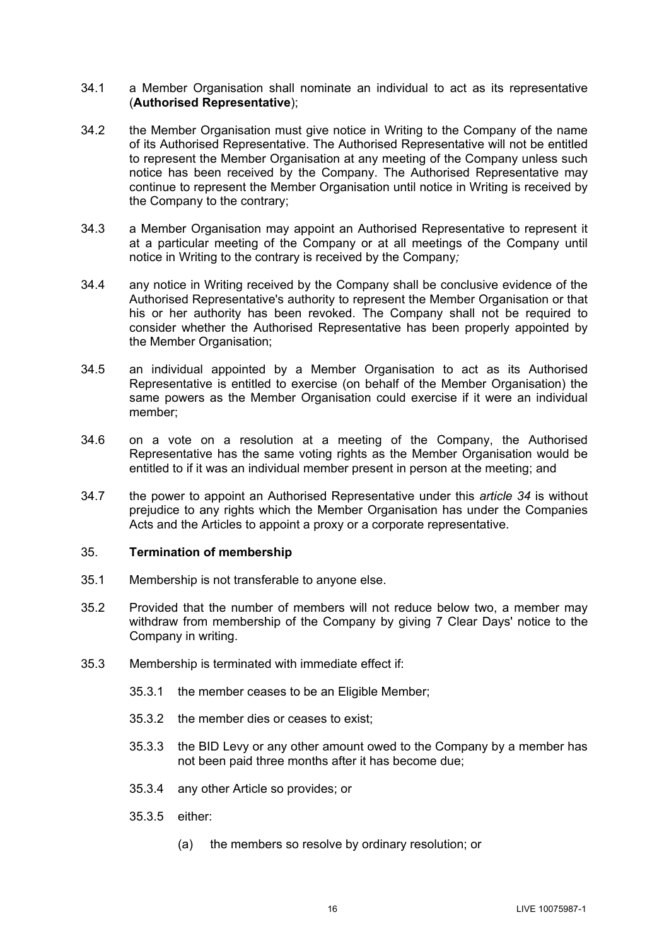- 34.1 a Member Organisation shall nominate an individual to act as its representative (**Authorised Representative**);
- 34.2 the Member Organisation must give notice in Writing to the Company of the name of its Authorised Representative. The Authorised Representative will not be entitled to represent the Member Organisation at any meeting of the Company unless such notice has been received by the Company. The Authorised Representative may continue to represent the Member Organisation until notice in Writing is received by the Company to the contrary;
- 34.3 a Member Organisation may appoint an Authorised Representative to represent it at a particular meeting of the Company or at all meetings of the Company until notice in Writing to the contrary is received by the Company*;*
- 34.4 any notice in Writing received by the Company shall be conclusive evidence of the Authorised Representative's authority to represent the Member Organisation or that his or her authority has been revoked. The Company shall not be required to consider whether the Authorised Representative has been properly appointed by the Member Organisation;
- 34.5 an individual appointed by a Member Organisation to act as its Authorised Representative is entitled to exercise (on behalf of the Member Organisation) the same powers as the Member Organisation could exercise if it were an individual member;
- 34.6 on a vote on a resolution at a meeting of the Company, the Authorised Representative has the same voting rights as the Member Organisation would be entitled to if it was an individual member present in person at the meeting; and
- 34.7 the power to appoint an Authorised Representative under this *article [34](#page-17-2)* is without prejudice to any rights which the Member Organisation has under the Companies Acts and the Articles to appoint a proxy or a corporate representative.

## 35. **Termination of membership**

- 35.1 Membership is not transferable to anyone else.
- 35.2 Provided that the number of members will not reduce below two, a member may withdraw from membership of the Company by giving 7 Clear Days' notice to the Company in writing.
- 35.3 Membership is terminated with immediate effect if:
	- 35.3.1 the member ceases to be an Eligible Member;
	- 35.3.2 the member dies or ceases to exist;
	- 35.3.3 the BID Levy or any other amount owed to the Company by a member has not been paid three months after it has become due;
	- 35.3.4 any other Article so provides; or
	- 35.3.5 either:
		- (a) the members so resolve by ordinary resolution; or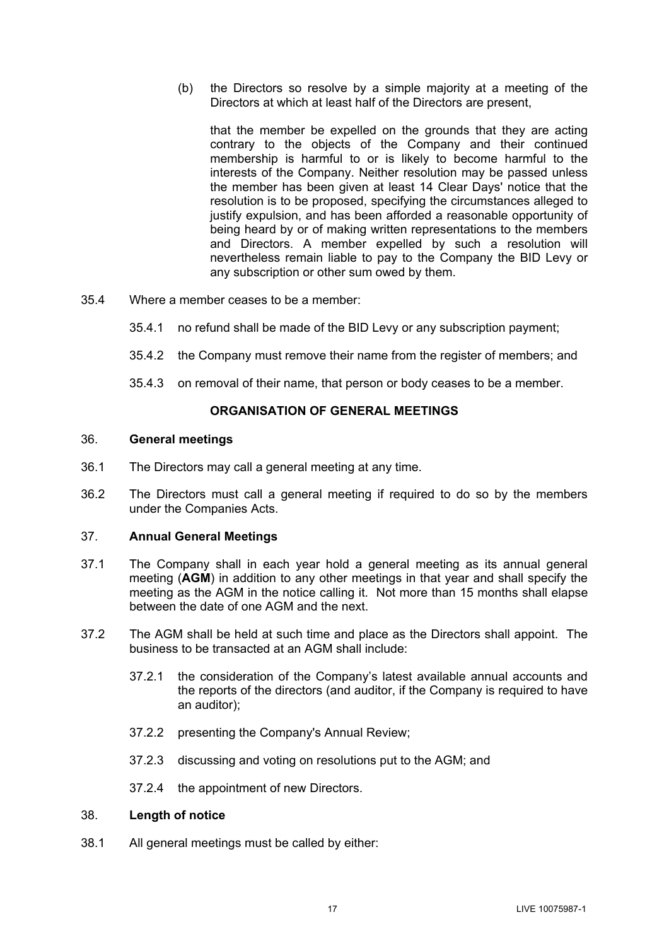(b) the Directors so resolve by a simple majority at a meeting of the Directors at which at least half of the Directors are present,

that the member be expelled on the grounds that they are acting contrary to the objects of the Company and their continued membership is harmful to or is likely to become harmful to the interests of the Company. Neither resolution may be passed unless the member has been given at least 14 Clear Days' notice that the resolution is to be proposed, specifying the circumstances alleged to justify expulsion, and has been afforded a reasonable opportunity of being heard by or of making written representations to the members and Directors. A member expelled by such a resolution will nevertheless remain liable to pay to the Company the BID Levy or any subscription or other sum owed by them.

- 35.4 Where a member ceases to be a member:
	- 35.4.1 no refund shall be made of the BID Levy or any subscription payment;
	- 35.4.2 the Company must remove their name from the register of members; and
	- 35.4.3 on removal of their name, that person or body ceases to be a member.

## **ORGANISATION OF GENERAL MEETINGS**

#### 36. **General meetings**

- 36.1 The Directors may call a general meeting at any time.
- 36.2 The Directors must call a general meeting if required to do so by the members under the Companies Acts.

## 37. **Annual General Meetings**

- 37.1 The Company shall in each year hold a general meeting as its annual general meeting (**AGM**) in addition to any other meetings in that year and shall specify the meeting as the AGM in the notice calling it. Not more than 15 months shall elapse between the date of one AGM and the next.
- 37.2 The AGM shall be held at such time and place as the Directors shall appoint. The business to be transacted at an AGM shall include:
	- 37.2.1 the consideration of the Company's latest available annual accounts and the reports of the directors (and auditor, if the Company is required to have an auditor);
	- 37.2.2 presenting the Company's Annual Review;
	- 37.2.3 discussing and voting on resolutions put to the AGM; and
	- 37.2.4 the appointment of new Directors.

## 38. **Length of notice**

38.1 All general meetings must be called by either: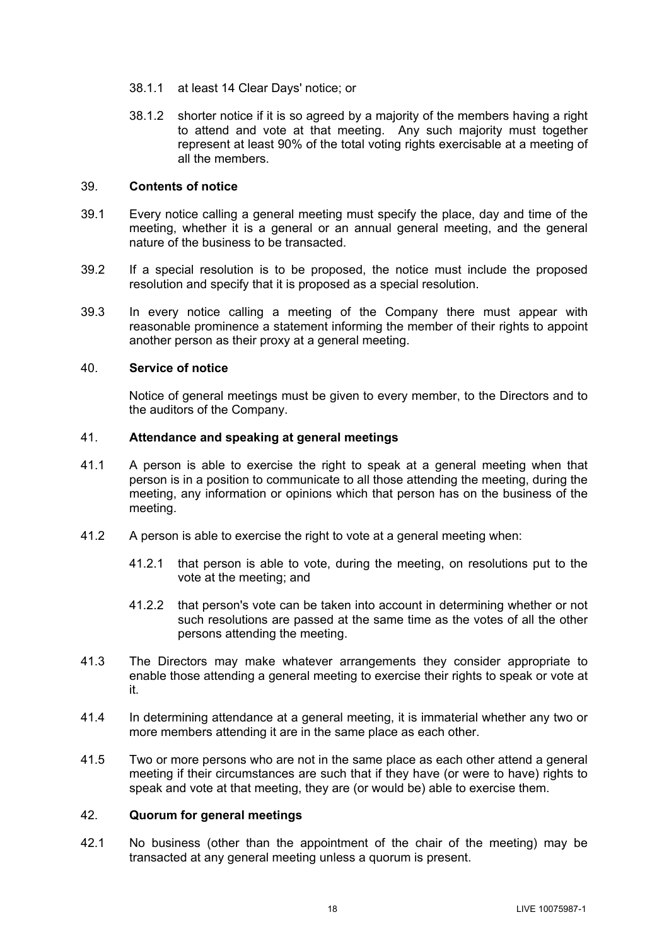- 38.1.1 at least 14 Clear Days' notice; or
- 38.1.2 shorter notice if it is so agreed by a majority of the members having a right to attend and vote at that meeting. Any such majority must together represent at least 90% of the total voting rights exercisable at a meeting of all the members.

#### 39. **Contents of notice**

- 39.1 Every notice calling a general meeting must specify the place, day and time of the meeting, whether it is a general or an annual general meeting, and the general nature of the business to be transacted.
- 39.2 If a special resolution is to be proposed, the notice must include the proposed resolution and specify that it is proposed as a special resolution.
- 39.3 In every notice calling a meeting of the Company there must appear with reasonable prominence a statement informing the member of their rights to appoint another person as their proxy at a general meeting.

## 40. **Service of notice**

Notice of general meetings must be given to every member, to the Directors and to the auditors of the Company.

## 41. **Attendance and speaking at general meetings**

- 41.1 A person is able to exercise the right to speak at a general meeting when that person is in a position to communicate to all those attending the meeting, during the meeting, any information or opinions which that person has on the business of the meeting.
- 41.2 A person is able to exercise the right to vote at a general meeting when:
	- 41.2.1 that person is able to vote, during the meeting, on resolutions put to the vote at the meeting; and
	- 41.2.2 that person's vote can be taken into account in determining whether or not such resolutions are passed at the same time as the votes of all the other persons attending the meeting.
- 41.3 The Directors may make whatever arrangements they consider appropriate to enable those attending a general meeting to exercise their rights to speak or vote at it.
- 41.4 In determining attendance at a general meeting, it is immaterial whether any two or more members attending it are in the same place as each other.
- 41.5 Two or more persons who are not in the same place as each other attend a general meeting if their circumstances are such that if they have (or were to have) rights to speak and vote at that meeting, they are (or would be) able to exercise them.

## 42. **Quorum for general meetings**

42.1 No business (other than the appointment of the chair of the meeting) may be transacted at any general meeting unless a quorum is present.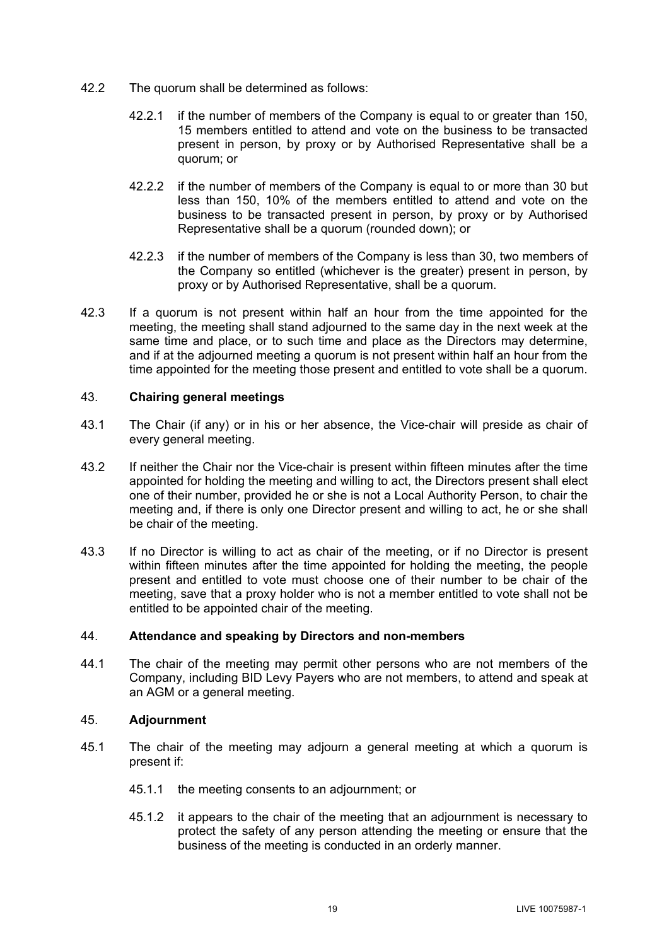- 42.2 The quorum shall be determined as follows:
	- 42.2.1 if the number of members of the Company is equal to or greater than 150, 15 members entitled to attend and vote on the business to be transacted present in person, by proxy or by Authorised Representative shall be a quorum; or
	- 42.2.2 if the number of members of the Company is equal to or more than 30 but less than 150, 10% of the members entitled to attend and vote on the business to be transacted present in person, by proxy or by Authorised Representative shall be a quorum (rounded down); or
	- 42.2.3 if the number of members of the Company is less than 30, two members of the Company so entitled (whichever is the greater) present in person, by proxy or by Authorised Representative, shall be a quorum.
- 42.3 If a quorum is not present within half an hour from the time appointed for the meeting, the meeting shall stand adjourned to the same day in the next week at the same time and place, or to such time and place as the Directors may determine, and if at the adjourned meeting a quorum is not present within half an hour from the time appointed for the meeting those present and entitled to vote shall be a quorum.

## <span id="page-21-0"></span>43. **Chairing general meetings**

- 43.1 The Chair (if any) or in his or her absence, the Vice-chair will preside as chair of every general meeting.
- 43.2 If neither the Chair nor the Vice-chair is present within fifteen minutes after the time appointed for holding the meeting and willing to act, the Directors present shall elect one of their number, provided he or she is not a Local Authority Person, to chair the meeting and, if there is only one Director present and willing to act, he or she shall be chair of the meeting.
- 43.3 If no Director is willing to act as chair of the meeting, or if no Director is present within fifteen minutes after the time appointed for holding the meeting, the people present and entitled to vote must choose one of their number to be chair of the meeting, save that a proxy holder who is not a member entitled to vote shall not be entitled to be appointed chair of the meeting.

# 44. **Attendance and speaking by Directors and non-members**

44.1 The chair of the meeting may permit other persons who are not members of the Company, including BID Levy Payers who are not members, to attend and speak at an AGM or a general meeting.

## 45. **Adjournment**

- 45.1 The chair of the meeting may adjourn a general meeting at which a quorum is present if:
	- 45.1.1 the meeting consents to an adjournment; or
	- 45.1.2 it appears to the chair of the meeting that an adjournment is necessary to protect the safety of any person attending the meeting or ensure that the business of the meeting is conducted in an orderly manner.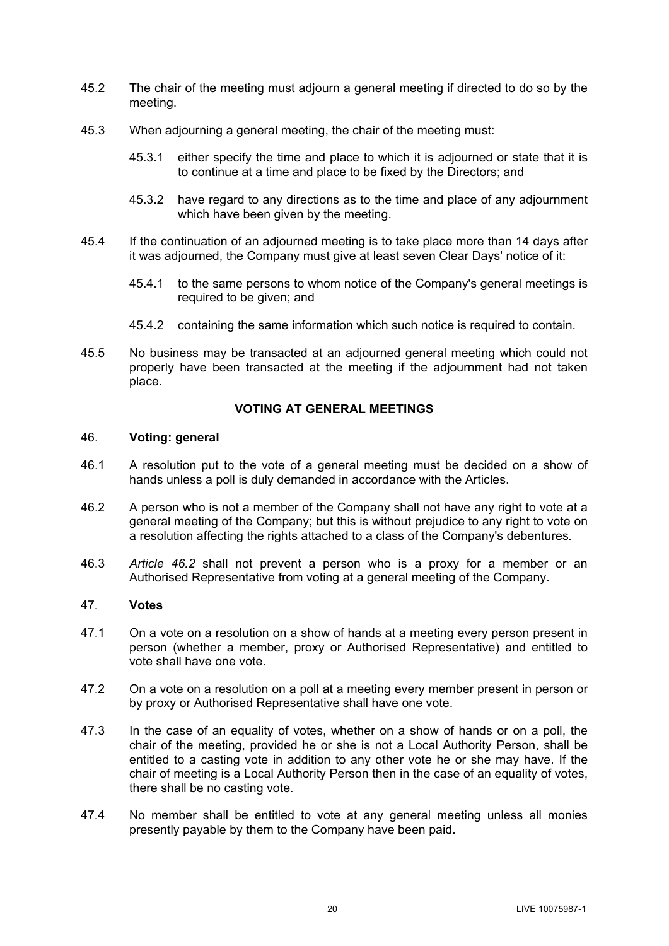- 45.2 The chair of the meeting must adjourn a general meeting if directed to do so by the meeting.
- 45.3 When adjourning a general meeting, the chair of the meeting must:
	- 45.3.1 either specify the time and place to which it is adjourned or state that it is to continue at a time and place to be fixed by the Directors; and
	- 45.3.2 have regard to any directions as to the time and place of any adjournment which have been given by the meeting.
- 45.4 If the continuation of an adjourned meeting is to take place more than 14 days after it was adjourned, the Company must give at least seven Clear Days' notice of it:
	- 45.4.1 to the same persons to whom notice of the Company's general meetings is required to be given; and
	- 45.4.2 containing the same information which such notice is required to contain.
- 45.5 No business may be transacted at an adjourned general meeting which could not properly have been transacted at the meeting if the adjournment had not taken place.

# **VOTING AT GENERAL MEETINGS**

## 46. **Voting: general**

- 46.1 A resolution put to the vote of a general meeting must be decided on a show of hands unless a poll is duly demanded in accordance with the Articles.
- <span id="page-22-0"></span>46.2 A person who is not a member of the Company shall not have any right to vote at a general meeting of the Company; but this is without prejudice to any right to vote on a resolution affecting the rights attached to a class of the Company's debentures*.*
- 46.3 *Article [46.2](#page-22-0)* shall not prevent a person who is a proxy for a member or an Authorised Representative from voting at a general meeting of the Company.

## 47. **Votes**

- 47.1 On a vote on a resolution on a show of hands at a meeting every person present in person (whether a member, proxy or Authorised Representative) and entitled to vote shall have one vote.
- 47.2 On a vote on a resolution on a poll at a meeting every member present in person or by proxy or Authorised Representative shall have one vote.
- 47.3 In the case of an equality of votes, whether on a show of hands or on a poll, the chair of the meeting, provided he or she is not a Local Authority Person, shall be entitled to a casting vote in addition to any other vote he or she may have. If the chair of meeting is a Local Authority Person then in the case of an equality of votes, there shall be no casting vote.
- 47.4 No member shall be entitled to vote at any general meeting unless all monies presently payable by them to the Company have been paid.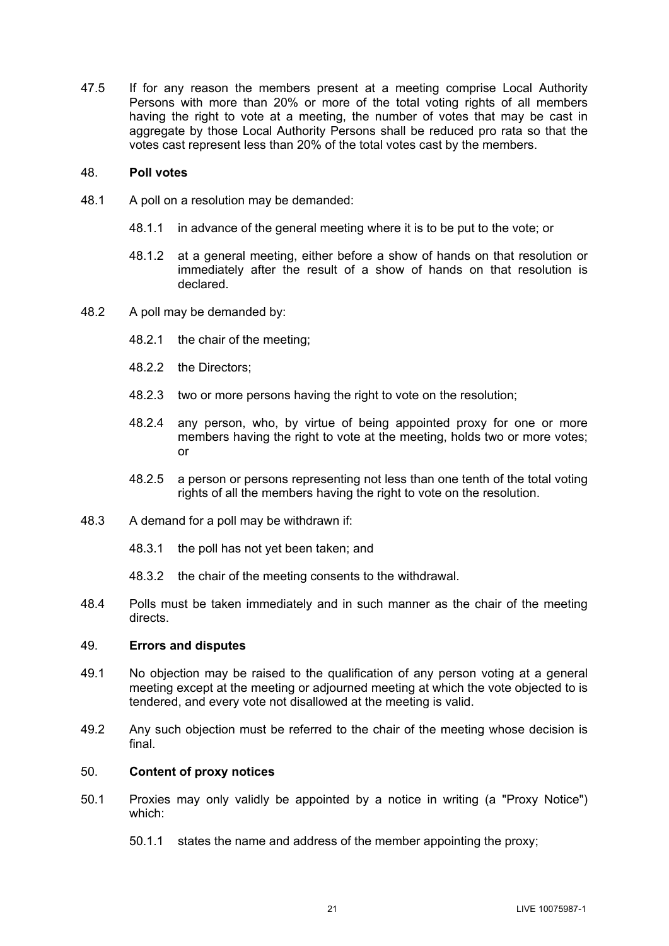47.5 If for any reason the members present at a meeting comprise Local Authority Persons with more than 20% or more of the total voting rights of all members having the right to vote at a meeting, the number of votes that may be cast in aggregate by those Local Authority Persons shall be reduced pro rata so that the votes cast represent less than 20% of the total votes cast by the members.

## 48. **Poll votes**

- 48.1 A poll on a resolution may be demanded:
	- 48.1.1 in advance of the general meeting where it is to be put to the vote; or
	- 48.1.2 at a general meeting, either before a show of hands on that resolution or immediately after the result of a show of hands on that resolution is declared.
- 48.2 A poll may be demanded by:
	- 48.2.1 the chair of the meeting;
	- 48.2.2 the Directors;
	- 48.2.3 two or more persons having the right to vote on the resolution;
	- 48.2.4 any person, who, by virtue of being appointed proxy for one or more members having the right to vote at the meeting, holds two or more votes; or
	- 48.2.5 a person or persons representing not less than one tenth of the total voting rights of all the members having the right to vote on the resolution.
- 48.3 A demand for a poll may be withdrawn if:
	- 48.3.1 the poll has not yet been taken; and
	- 48.3.2 the chair of the meeting consents to the withdrawal.
- 48.4 Polls must be taken immediately and in such manner as the chair of the meeting directs.

## 49. **Errors and disputes**

- 49.1 No objection may be raised to the qualification of any person voting at a general meeting except at the meeting or adjourned meeting at which the vote objected to is tendered, and every vote not disallowed at the meeting is valid.
- 49.2 Any such objection must be referred to the chair of the meeting whose decision is final.

## 50. **Content of proxy notices**

- <span id="page-23-0"></span>50.1 Proxies may only validly be appointed by a notice in writing (a "Proxy Notice") which:
	- 50.1.1 states the name and address of the member appointing the proxy;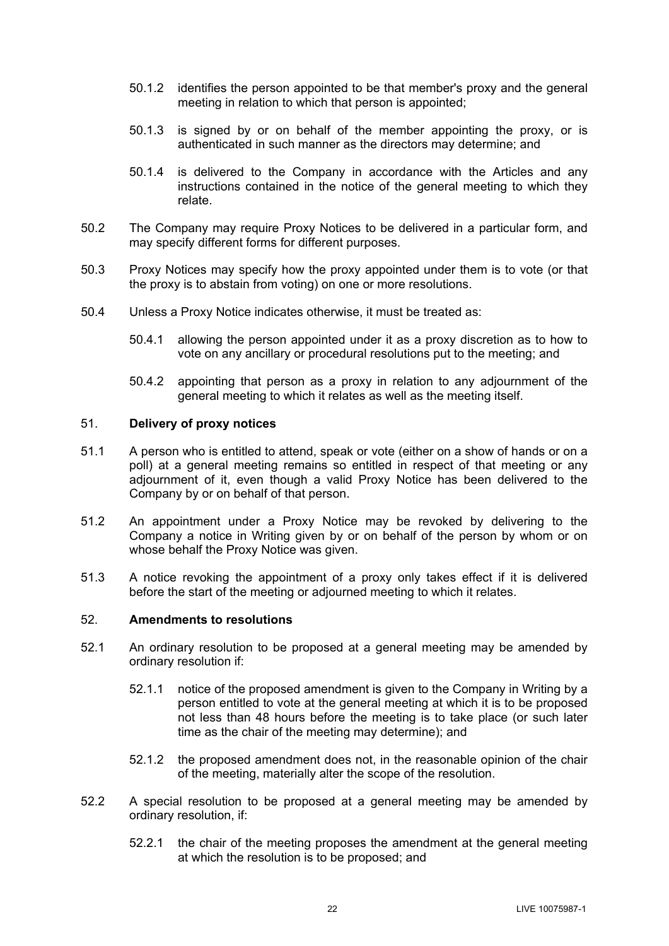- 50.1.2 identifies the person appointed to be that member's proxy and the general meeting in relation to which that person is appointed;
- 50.1.3 is signed by or on behalf of the member appointing the proxy, or is authenticated in such manner as the directors may determine; and
- 50.1.4 is delivered to the Company in accordance with the Articles and any instructions contained in the notice of the general meeting to which they relate.
- 50.2 The Company may require Proxy Notices to be delivered in a particular form, and may specify different forms for different purposes.
- 50.3 Proxy Notices may specify how the proxy appointed under them is to vote (or that the proxy is to abstain from voting) on one or more resolutions.
- 50.4 Unless a Proxy Notice indicates otherwise, it must be treated as:
	- 50.4.1 allowing the person appointed under it as a proxy discretion as to how to vote on any ancillary or procedural resolutions put to the meeting; and
	- 50.4.2 appointing that person as a proxy in relation to any adjournment of the general meeting to which it relates as well as the meeting itself.

## 51. **Delivery of proxy notices**

- 51.1 A person who is entitled to attend, speak or vote (either on a show of hands or on a poll) at a general meeting remains so entitled in respect of that meeting or any adjournment of it, even though a valid Proxy Notice has been delivered to the Company by or on behalf of that person.
- 51.2 An appointment under a Proxy Notice may be revoked by delivering to the Company a notice in Writing given by or on behalf of the person by whom or on whose behalf the Proxy Notice was given.
- 51.3 A notice revoking the appointment of a proxy only takes effect if it is delivered before the start of the meeting or adjourned meeting to which it relates.

## 52. **Amendments to resolutions**

- 52.1 An ordinary resolution to be proposed at a general meeting may be amended by ordinary resolution if:
	- 52.1.1 notice of the proposed amendment is given to the Company in Writing by a person entitled to vote at the general meeting at which it is to be proposed not less than 48 hours before the meeting is to take place (or such later time as the chair of the meeting may determine); and
	- 52.1.2 the proposed amendment does not, in the reasonable opinion of the chair of the meeting, materially alter the scope of the resolution.
- 52.2 A special resolution to be proposed at a general meeting may be amended by ordinary resolution, if:
	- 52.2.1 the chair of the meeting proposes the amendment at the general meeting at which the resolution is to be proposed; and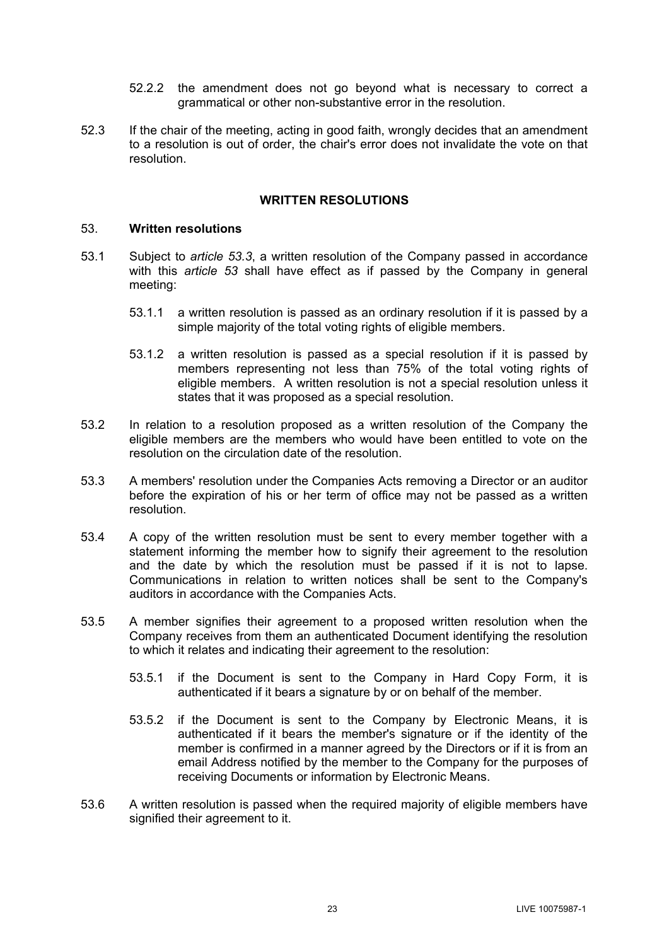- 52.2.2 the amendment does not go beyond what is necessary to correct a grammatical or other non-substantive error in the resolution.
- 52.3 If the chair of the meeting, acting in good faith, wrongly decides that an amendment to a resolution is out of order, the chair's error does not invalidate the vote on that resolution.

## **WRITTEN RESOLUTIONS**

## <span id="page-25-1"></span>53. **Written resolutions**

- 53.1 Subject to *article [53.3](#page-25-0)*, a written resolution of the Company passed in accordance with this *article [53](#page-25-1)* shall have effect as if passed by the Company in general meeting:
	- 53.1.1 a written resolution is passed as an ordinary resolution if it is passed by a simple majority of the total voting rights of eligible members.
	- 53.1.2 a written resolution is passed as a special resolution if it is passed by members representing not less than 75% of the total voting rights of eligible members. A written resolution is not a special resolution unless it states that it was proposed as a special resolution.
- 53.2 In relation to a resolution proposed as a written resolution of the Company the eligible members are the members who would have been entitled to vote on the resolution on the circulation date of the resolution.
- <span id="page-25-0"></span>53.3 A members' resolution under the Companies Acts removing a Director or an auditor before the expiration of his or her term of office may not be passed as a written resolution.
- 53.4 A copy of the written resolution must be sent to every member together with a statement informing the member how to signify their agreement to the resolution and the date by which the resolution must be passed if it is not to lapse. Communications in relation to written notices shall be sent to the Company's auditors in accordance with the Companies Acts.
- 53.5 A member signifies their agreement to a proposed written resolution when the Company receives from them an authenticated Document identifying the resolution to which it relates and indicating their agreement to the resolution:
	- 53.5.1 if the Document is sent to the Company in Hard Copy Form, it is authenticated if it bears a signature by or on behalf of the member.
	- 53.5.2 if the Document is sent to the Company by Electronic Means, it is authenticated if it bears the member's signature or if the identity of the member is confirmed in a manner agreed by the Directors or if it is from an email Address notified by the member to the Company for the purposes of receiving Documents or information by Electronic Means.
- 53.6 A written resolution is passed when the required majority of eligible members have signified their agreement to it.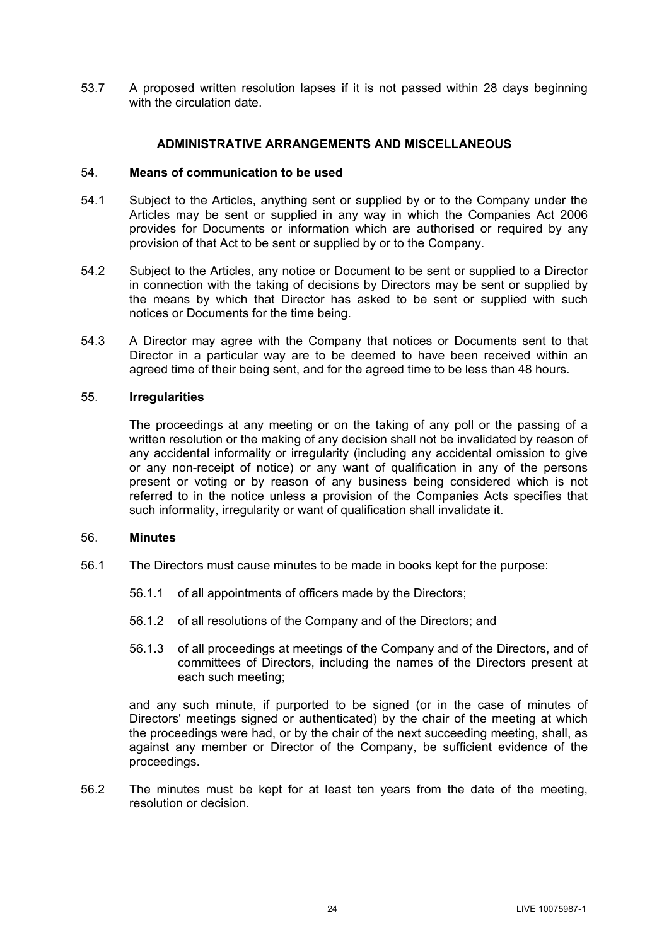53.7 A proposed written resolution lapses if it is not passed within 28 days beginning with the circulation date.

## **ADMINISTRATIVE ARRANGEMENTS AND MISCELLANEOUS**

## 54. **Means of communication to be used**

- 54.1 Subject to the Articles, anything sent or supplied by or to the Company under the Articles may be sent or supplied in any way in which the Companies Act 2006 provides for Documents or information which are authorised or required by any provision of that Act to be sent or supplied by or to the Company.
- 54.2 Subject to the Articles, any notice or Document to be sent or supplied to a Director in connection with the taking of decisions by Directors may be sent or supplied by the means by which that Director has asked to be sent or supplied with such notices or Documents for the time being.
- 54.3 A Director may agree with the Company that notices or Documents sent to that Director in a particular way are to be deemed to have been received within an agreed time of their being sent, and for the agreed time to be less than 48 hours.

#### 55. **Irregularities**

The proceedings at any meeting or on the taking of any poll or the passing of a written resolution or the making of any decision shall not be invalidated by reason of any accidental informality or irregularity (including any accidental omission to give or any non-receipt of notice) or any want of qualification in any of the persons present or voting or by reason of any business being considered which is not referred to in the notice unless a provision of the Companies Acts specifies that such informality, irregularity or want of qualification shall invalidate it.

## <span id="page-26-0"></span>56. **Minutes**

- 56.1 The Directors must cause minutes to be made in books kept for the purpose:
	- 56.1.1 of all appointments of officers made by the Directors;
	- 56.1.2 of all resolutions of the Company and of the Directors; and
	- 56.1.3 of all proceedings at meetings of the Company and of the Directors, and of committees of Directors, including the names of the Directors present at each such meeting;

and any such minute, if purported to be signed (or in the case of minutes of Directors' meetings signed or authenticated) by the chair of the meeting at which the proceedings were had, or by the chair of the next succeeding meeting, shall, as against any member or Director of the Company, be sufficient evidence of the proceedings.

56.2 The minutes must be kept for at least ten years from the date of the meeting, resolution or decision.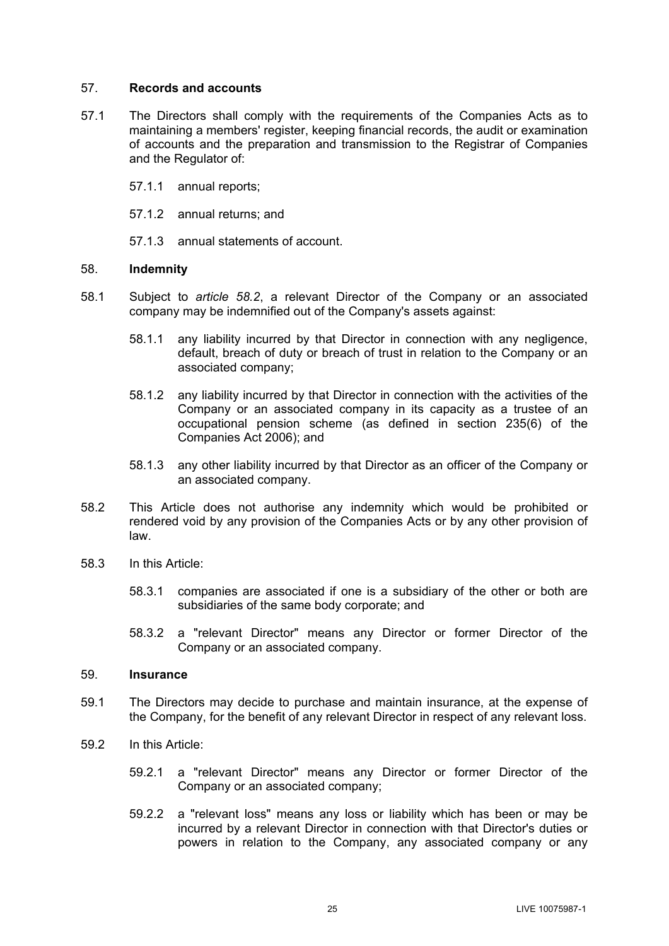## 57. **Records and accounts**

- 57.1 The Directors shall comply with the requirements of the Companies Acts as to maintaining a members' register, keeping financial records, the audit or examination of accounts and the preparation and transmission to the Registrar of Companies and the Regulator of:
	- 57.1.1 annual reports;
	- 57.1.2 annual returns; and

57.1.3 annual statements of account.

## 58. **Indemnity**

- 58.1 Subject to *article [58.2](#page-27-0)*, a relevant Director of the Company or an associated company may be indemnified out of the Company's assets against:
	- 58.1.1 any liability incurred by that Director in connection with any negligence, default, breach of duty or breach of trust in relation to the Company or an associated company;
	- 58.1.2 any liability incurred by that Director in connection with the activities of the Company or an associated company in its capacity as a trustee of an occupational pension scheme (as defined in section 235(6) of the Companies Act 2006); and
	- 58.1.3 any other liability incurred by that Director as an officer of the Company or an associated company.
- <span id="page-27-0"></span>58.2 This Article does not authorise any indemnity which would be prohibited or rendered void by any provision of the Companies Acts or by any other provision of law.
- 58.3 In this Article:
	- 58.3.1 companies are associated if one is a subsidiary of the other or both are subsidiaries of the same body corporate; and
	- 58.3.2 a "relevant Director" means any Director or former Director of the Company or an associated company.

## 59. **Insurance**

- 59.1 The Directors may decide to purchase and maintain insurance, at the expense of the Company, for the benefit of any relevant Director in respect of any relevant loss.
- 59.2 In this Article:
	- 59.2.1 a "relevant Director" means any Director or former Director of the Company or an associated company;
	- 59.2.2 a "relevant loss" means any loss or liability which has been or may be incurred by a relevant Director in connection with that Director's duties or powers in relation to the Company, any associated company or any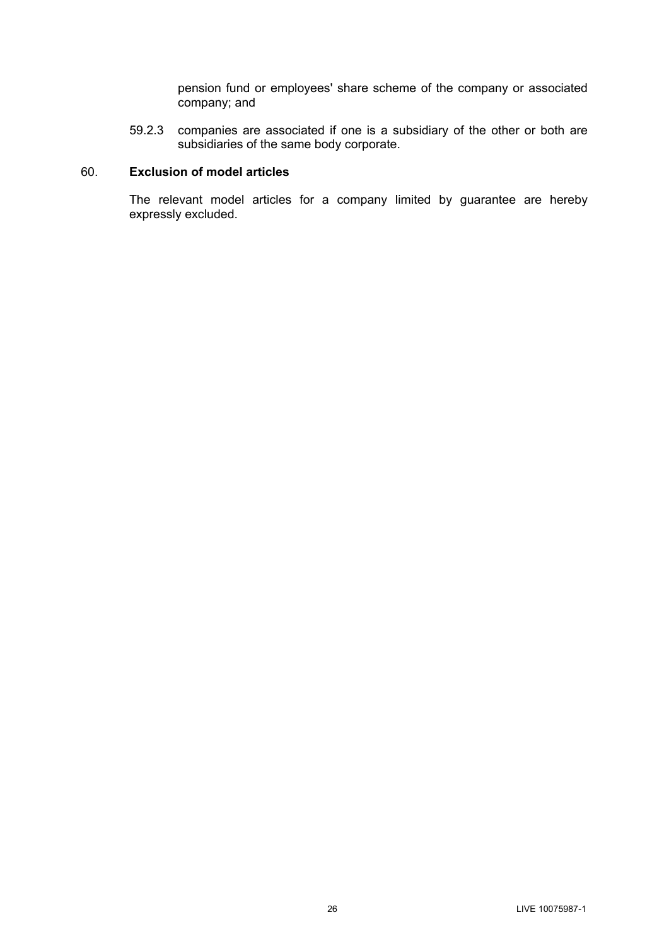pension fund or employees' share scheme of the company or associated company; and

59.2.3 companies are associated if one is a subsidiary of the other or both are subsidiaries of the same body corporate.

# 60. **Exclusion of model articles**

The relevant model articles for a company limited by guarantee are hereby expressly excluded.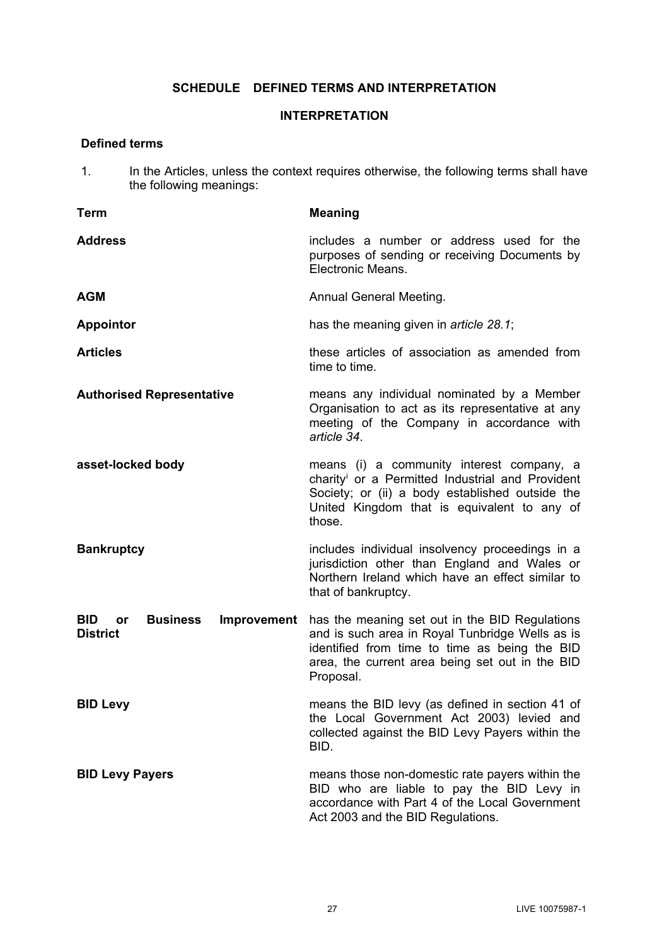# **SCHEDULE DEFINED TERMS AND INTERPRETATION**

# **INTERPRETATION**

# **Defined terms**

1. In the Articles, unless the context requires otherwise, the following terms shall have the following meanings:

| <b>Term</b>                                                                  | <b>Meaning</b>                                                                                                                                                                                                        |
|------------------------------------------------------------------------------|-----------------------------------------------------------------------------------------------------------------------------------------------------------------------------------------------------------------------|
| <b>Address</b>                                                               | includes a number or address used for the<br>purposes of sending or receiving Documents by<br>Electronic Means.                                                                                                       |
| <b>AGM</b>                                                                   | <b>Annual General Meeting.</b>                                                                                                                                                                                        |
| <b>Appointor</b>                                                             | has the meaning given in <i>article 28.1</i> ;                                                                                                                                                                        |
| <b>Articles</b>                                                              | these articles of association as amended from<br>time to time.                                                                                                                                                        |
| <b>Authorised Representative</b>                                             | means any individual nominated by a Member<br>Organisation to act as its representative at any<br>meeting of the Company in accordance with<br>article 34.                                                            |
| asset-locked body                                                            | means (i) a community interest company, a<br>charity <sup>i</sup> or a Permitted Industrial and Provident<br>Society; or (ii) a body established outside the<br>United Kingdom that is equivalent to any of<br>those. |
| <b>Bankruptcy</b>                                                            | includes individual insolvency proceedings in a<br>jurisdiction other than England and Wales or<br>Northern Ireland which have an effect similar to<br>that of bankruptcy.                                            |
| <b>BID</b><br><b>Business</b><br>Improvement<br><b>or</b><br><b>District</b> | has the meaning set out in the BID Regulations<br>and is such area in Royal Tunbridge Wells as is<br>identified from time to time as being the BID<br>area, the current area being set out in the BID<br>Proposal.    |
| <b>BID Levy</b>                                                              | means the BID levy (as defined in section 41 of<br>the Local Government Act 2003) levied and<br>collected against the BID Levy Payers within the<br>BID.                                                              |
| <b>BID Levy Payers</b>                                                       | means those non-domestic rate payers within the<br>BID who are liable to pay the BID Levy in<br>accordance with Part 4 of the Local Government<br>Act 2003 and the BID Regulations.                                   |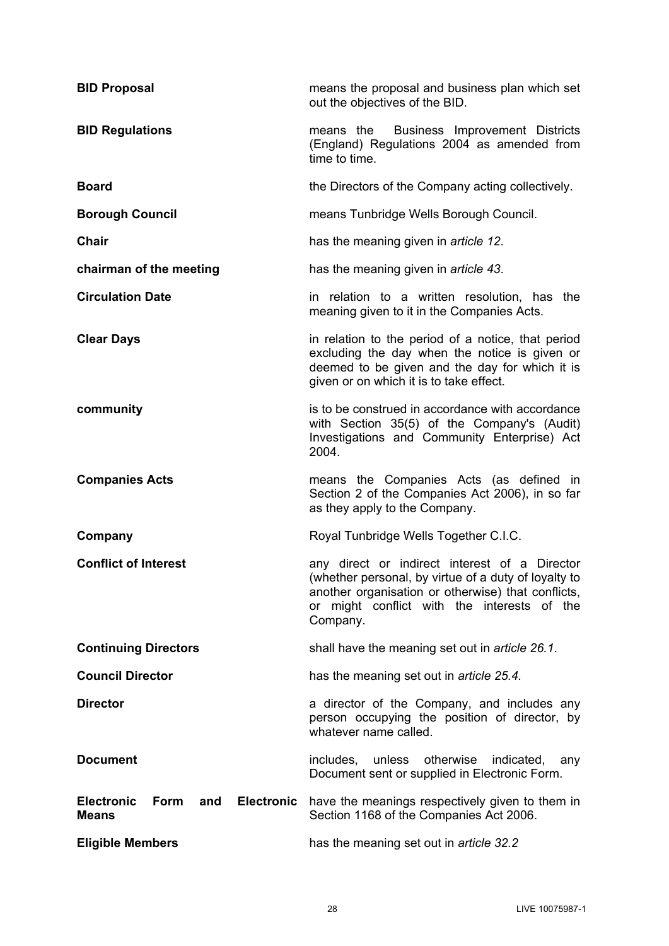| <b>BID Proposal</b>                                                   | means the proposal and business plan which set<br>out the objectives of the BID.                                                                                                                                       |
|-----------------------------------------------------------------------|------------------------------------------------------------------------------------------------------------------------------------------------------------------------------------------------------------------------|
| <b>BID Regulations</b>                                                | means the<br>Business Improvement Districts<br>(England) Regulations 2004 as amended from<br>time to time.                                                                                                             |
| <b>Board</b>                                                          | the Directors of the Company acting collectively.                                                                                                                                                                      |
| <b>Borough Council</b>                                                | means Tunbridge Wells Borough Council.                                                                                                                                                                                 |
| <b>Chair</b>                                                          | has the meaning given in article 12.                                                                                                                                                                                   |
| chairman of the meeting                                               | has the meaning given in article 43.                                                                                                                                                                                   |
| <b>Circulation Date</b>                                               | in relation to a written resolution, has the<br>meaning given to it in the Companies Acts.                                                                                                                             |
| <b>Clear Days</b>                                                     | in relation to the period of a notice, that period<br>excluding the day when the notice is given or<br>deemed to be given and the day for which it is<br>given or on which it is to take effect.                       |
| community                                                             | is to be construed in accordance with accordance<br>with Section 35(5) of the Company's (Audit)<br>Investigations and Community Enterprise) Act<br>2004.                                                               |
| <b>Companies Acts</b>                                                 | means the Companies Acts (as defined in<br>Section 2 of the Companies Act 2006), in so far<br>as they apply to the Company.                                                                                            |
| Company                                                               | Royal Tunbridge Wells Together C.I.C.                                                                                                                                                                                  |
| <b>Conflict of Interest</b>                                           | any direct or indirect interest of a Director<br>(whether personal, by virtue of a duty of loyalty to<br>another organisation or otherwise) that conflicts,<br>or might conflict with the interests of the<br>Company. |
| <b>Continuing Directors</b>                                           | shall have the meaning set out in article 26.1.                                                                                                                                                                        |
| <b>Council Director</b>                                               | has the meaning set out in <i>article</i> 25.4.                                                                                                                                                                        |
| <b>Director</b>                                                       | a director of the Company, and includes any<br>person occupying the position of director, by<br>whatever name called.                                                                                                  |
| <b>Document</b>                                                       | includes, unless otherwise<br>indicated,<br>any<br>Document sent or supplied in Electronic Form.                                                                                                                       |
| <b>Electronic</b><br><b>Electronic</b><br><b>Form</b><br>and<br>Means | have the meanings respectively given to them in<br>Section 1168 of the Companies Act 2006.                                                                                                                             |
|                                                                       |                                                                                                                                                                                                                        |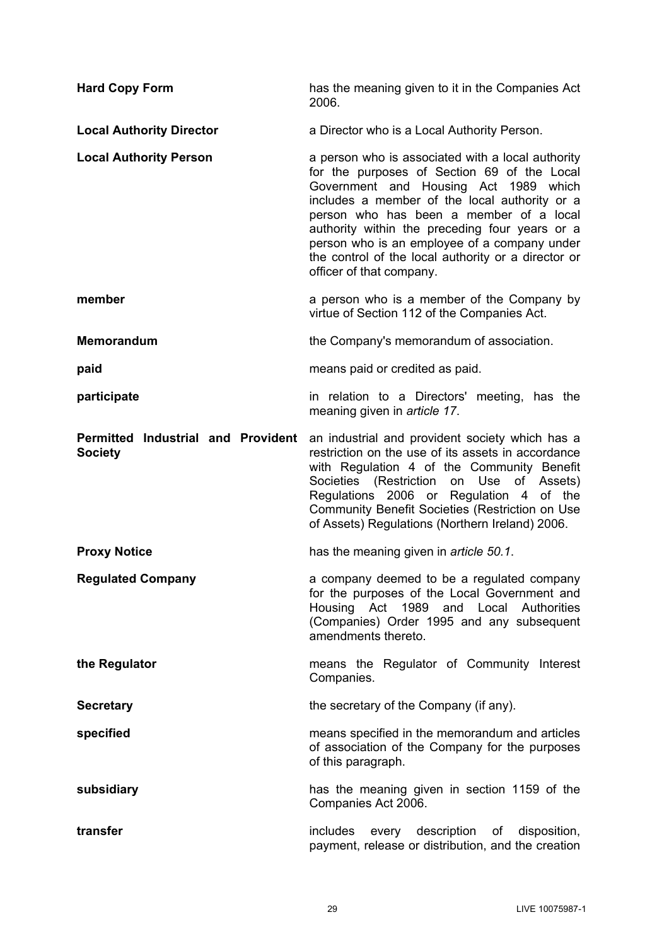| <b>Hard Copy Form</b>                                       | has the meaning given to it in the Companies Act<br>2006.                                                                                                                                                                                                                                                                                                                                                                  |
|-------------------------------------------------------------|----------------------------------------------------------------------------------------------------------------------------------------------------------------------------------------------------------------------------------------------------------------------------------------------------------------------------------------------------------------------------------------------------------------------------|
| <b>Local Authority Director</b>                             | a Director who is a Local Authority Person.                                                                                                                                                                                                                                                                                                                                                                                |
| <b>Local Authority Person</b>                               | a person who is associated with a local authority<br>for the purposes of Section 69 of the Local<br>Government and Housing Act 1989 which<br>includes a member of the local authority or a<br>person who has been a member of a local<br>authority within the preceding four years or a<br>person who is an employee of a company under<br>the control of the local authority or a director or<br>officer of that company. |
| member                                                      | a person who is a member of the Company by<br>virtue of Section 112 of the Companies Act.                                                                                                                                                                                                                                                                                                                                  |
| Memorandum                                                  | the Company's memorandum of association.                                                                                                                                                                                                                                                                                                                                                                                   |
| paid                                                        | means paid or credited as paid.                                                                                                                                                                                                                                                                                                                                                                                            |
| participate                                                 | in relation to a Directors' meeting, has the<br>meaning given in article 17.                                                                                                                                                                                                                                                                                                                                               |
| <b>Permitted Industrial and Provident</b><br><b>Society</b> | an industrial and provident society which has a<br>restriction on the use of its assets in accordance<br>with Regulation 4 of the Community Benefit<br>Societies (Restriction on Use of Assets)<br>Regulations 2006 or Regulation 4 of the<br>Community Benefit Societies (Restriction on Use<br>of Assets) Regulations (Northern Ireland) 2006.                                                                           |
| <b>Proxy Notice</b>                                         | has the meaning given in <i>article 50.1</i> .                                                                                                                                                                                                                                                                                                                                                                             |
| <b>Regulated Company</b>                                    | a company deemed to be a regulated company<br>for the purposes of the Local Government and<br>Housing Act 1989 and Local Authorities<br>(Companies) Order 1995 and any subsequent<br>amendments thereto.                                                                                                                                                                                                                   |
| the Regulator                                               | means the Regulator of Community Interest<br>Companies.                                                                                                                                                                                                                                                                                                                                                                    |
| <b>Secretary</b>                                            | the secretary of the Company (if any).                                                                                                                                                                                                                                                                                                                                                                                     |
| specified                                                   | means specified in the memorandum and articles<br>of association of the Company for the purposes<br>of this paragraph.                                                                                                                                                                                                                                                                                                     |
| subsidiary                                                  | has the meaning given in section 1159 of the<br>Companies Act 2006.                                                                                                                                                                                                                                                                                                                                                        |
| transfer                                                    | includes every description of disposition,<br>payment, release or distribution, and the creation                                                                                                                                                                                                                                                                                                                           |